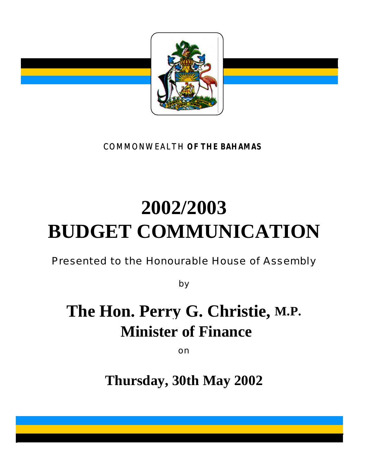

COMMONWEALTH **OF THE BAHAMAS**

# **2002/2003 BUDGET COMMUNICATION**

Presented to the Honourable House of Assembly

by

## **The Hon. Perry G. Christie, M.P. Minister of Finance**

on

**Thursday, 30th May 2002**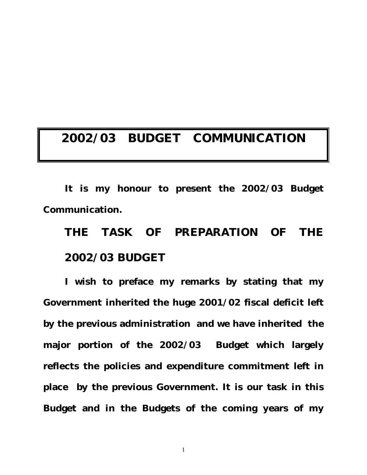### **2002/03 BUDGET COMMUNICATION**

**It is my honour to present the 2002/03 Budget Communication.**

**THE TASK OF PREPARATION OF THE 2002/03 BUDGET**

**I wish to preface my remarks by stating that my Government inherited the huge 2001/02 fiscal deficit left by the previous administration and we have inherited the major portion of the 2002/03 Budget which largely reflects the policies and expenditure commitment left in place by the previous Government. It is our task in this Budget and in the Budgets of the coming years of my**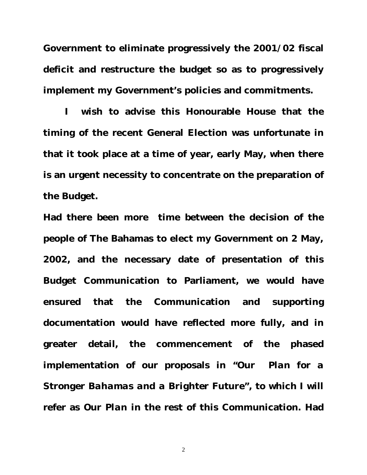**Government to eliminate progressively the 2001/02 fiscal deficit and restructure the budget so as to progressively implement my Government's policies and commitments.** 

**I wish to advise this Honourable House that the timing of the recent General Election was unfortunate in that it took place at a time of year, early May, when there is an urgent necessity to concentrate on the preparation of the Budget.**

**Had there been more time between the decision of the people of The Bahamas to elect my Government on 2 May, 2002, and the necessary date of presentation of this Budget Communication to Parliament, we would have ensured that the Communication and supporting documentation would have reflected more fully, and in greater detail, the commencement of the phased implementation of our proposals in** *"Our Plan for a Stronger Bahamas and a Brighter Future",* **to which I will refer as** *Our Plan* **in the rest of this Communication. Had**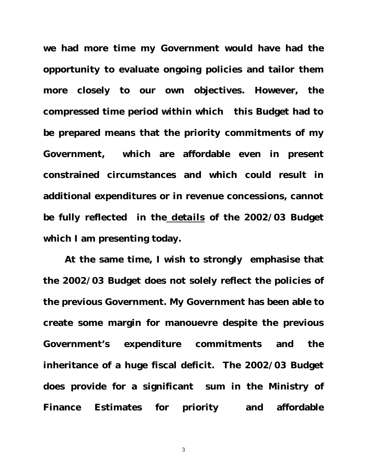**we had more time my Government would have had the opportunity to evaluate ongoing policies and tailor them more closely to our own objectives. However, the compressed time period within which this Budget had to be prepared means that the priority commitments of my Government, which are affordable even in present constrained circumstances and which could result in additional expenditures or in revenue concessions, cannot be fully reflected in the** *details* **of the 2002/03 Budget which I am presenting today.** 

**At the same time, I wish to strongly emphasise that the 2002/03 Budget does not solely reflect the policies of the previous Government. My Government has been able to create some margin for manouevre despite the previous Government's expenditure commitments and the inheritance of a huge fiscal deficit. The 2002/03 Budget does provide for a significant sum in the Ministry of Finance Estimates for priority and affordable**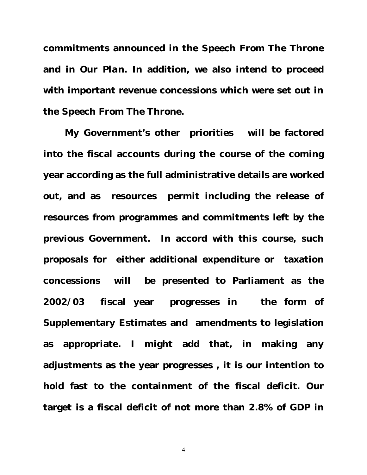**commitments announced in the** *Speech From The Throne* **and in** *Our Plan***. In addition, we also intend to proceed with important revenue concessions which were set out in the** *Speech From The Throne***.** 

**My Government's other priorities will be factored into the fiscal accounts during the course of the coming year according as the full administrative details are worked out, and as resources permit including the release of resources from programmes and commitments left by the previous Government. In accord with this course, such proposals for either additional expenditure or taxation concessions will be presented to Parliament as the 2002/03 fiscal year progresses in the form of Supplementary Estimates and amendments to legislation as appropriate. I might add that, in making any adjustments as the year progresses , it is our intention to hold fast to the containment of the fiscal deficit. Our target is a fiscal deficit of not more than 2.8% of GDP in**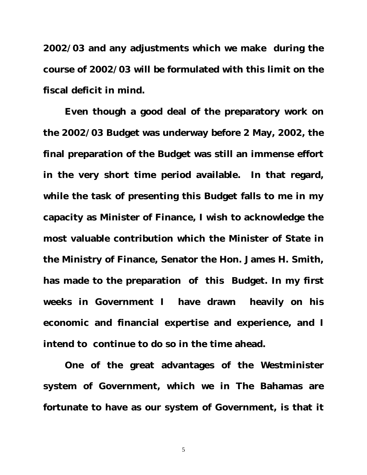**2002/03 and any adjustments which we make during the course of 2002/03 will be formulated with this limit on the fiscal deficit in mind.** 

**Even though a good deal of the preparatory work on the 2002/03 Budget was underway before 2 May, 2002, the final preparation of the Budget was still an immense effort in the very short time period available. In that regard, while the task of presenting this Budget falls to me in my capacity as Minister of Finance, I wish to acknowledge the most valuable contribution which the Minister of State in the Ministry of Finance, Senator the Hon. James H. Smith, has made to the preparation of this Budget. In my first weeks in Government I have drawn heavily on his economic and financial expertise and experience, and I intend to continue to do so in the time ahead.** 

**One of the great advantages of the Westminister system of Government, which we in The Bahamas are fortunate to have as our system of Government, is that it**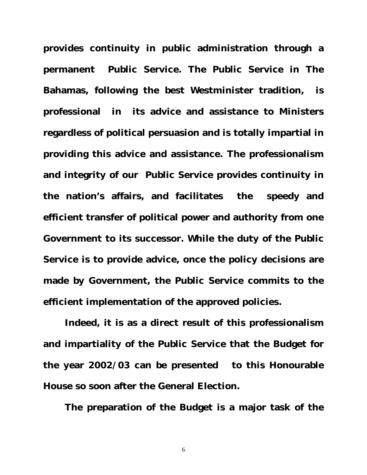**provides continuity in public administration through a permanent Public Service. The Public Service in The Bahamas, following the best Westminister tradition, is professional in its advice and assistance to Ministers regardless of political persuasion and is totally impartial in providing this advice and assistance. The professionalism and integrity of our Public Service provides continuity in the nation's affairs, and facilitates the speedy and efficient transfer of political power and authority from one Government to its successor. While the duty of the Public Service is to provide advice, once the policy decisions are made by Government, the Public Service commits to the efficient implementation of the approved policies.**

**Indeed, it is as a direct result of this professionalism and impartiality of the Public Service that the Budget for the year 2002/03 can be presented to this Honourable House so soon after the General Election.**

**The preparation of the Budget is a major task of the**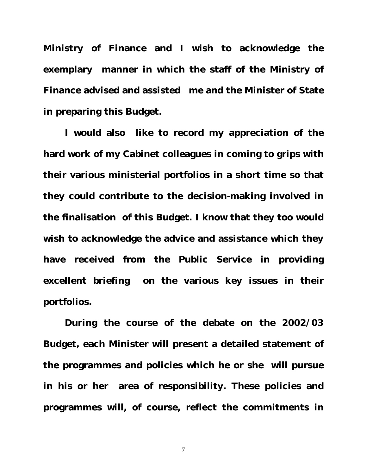**Ministry of Finance and I wish to acknowledge the exemplary manner in which the staff of the Ministry of Finance advised and assisted me and the Minister of State in preparing this Budget.** 

**I would also like to record my appreciation of the hard work of my Cabinet colleagues in coming to grips with their various ministerial portfolios in a short time so that they could contribute to the decision-making involved in the finalisation of this Budget. I know that they too would wish to acknowledge the advice and assistance which they have received from the Public Service in providing excellent briefing on the various key issues in their portfolios.**

**During the course of the debate on the 2002/03 Budget, each Minister will present a detailed statement of the programmes and policies which he or she will pursue in his or her area of responsibility. These policies and programmes will, of course, reflect the commitments in**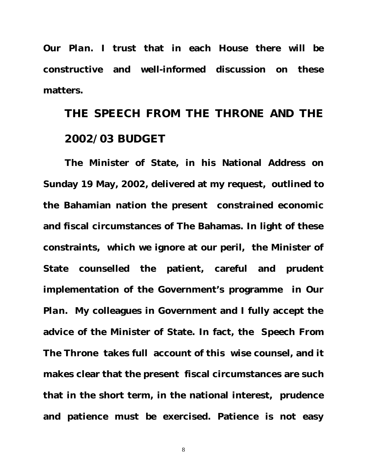*Our Plan***. I trust that in each House there will be constructive and well-informed discussion on these matters.** 

### **THE SPEECH FROM THE THRONE AND THE 2002/03 BUDGET**

**The Minister of State, in his National Address on Sunday 19 May, 2002, delivered at my request, outlined to the Bahamian nation the present constrained economic and fiscal circumstances of The Bahamas. In light of these constraints, which we ignore at our peril, the Minister of State counselled the patient, careful and prudent implementation of the Government's programme in** *Our Plan***. My colleagues in Government and I fully accept the advice of the Minister of State. In fact,** *the Speech From The Throne* **takes full account of this wise counsel, and it makes clear that the present fiscal circumstances are such that in the short term, in the national interest, prudence and patience must be exercised. Patience is not easy**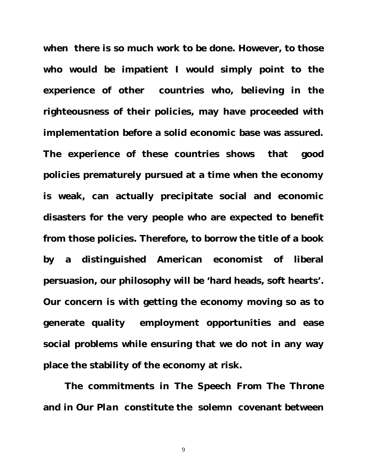**when there is so much work to be done. However, to those who would be impatient I would simply point to the experience of other countries who, believing in the righteousness of their policies, may have proceeded with implementation before a solid economic base was assured. The experience of these countries shows that good policies prematurely pursued at a time when the economy is weak, can actually precipitate social and economic disasters for the very people who are expected to benefit from those policies. Therefore, to borrow the title of a book by a distinguished American economist of liberal persuasion, our philosophy will be 'hard heads, soft hearts'. Our concern is with getting the economy moving so as to generate quality employment opportunities and ease social problems while ensuring that we do not in any way place the stability of the economy at risk.**

**The commitments in** *The Speech From The Throne* **and in** *Our Plan* **constitute the solemn covenant between**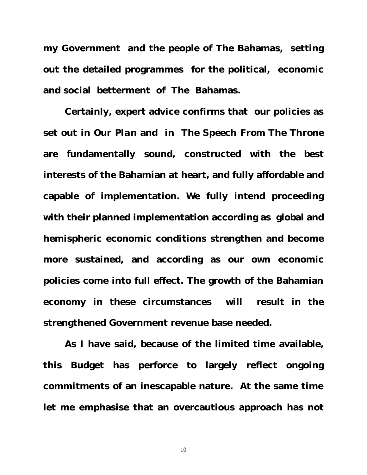**my Government and the people of The Bahamas, setting out the detailed programmes for the political, economic and social betterment of The Bahamas.** 

**Certainly, expert advice confirms that our policies as set out in** *Our Plan* **and in** *The Speech From The Throne* **are fundamentally sound, constructed with the best interests of the Bahamian at heart, and fully affordable and capable of implementation. We fully intend proceeding with their planned implementation according as global and hemispheric economic conditions strengthen and become more sustained, and according as our own economic policies come into full effect. The growth of the Bahamian economy in these circumstances will result in the strengthened Government revenue base needed.** 

**As I have said, because of the limited time available, this Budget has perforce to largely reflect ongoing commitments of an inescapable nature. At the same time let me emphasise that an overcautious approach has not**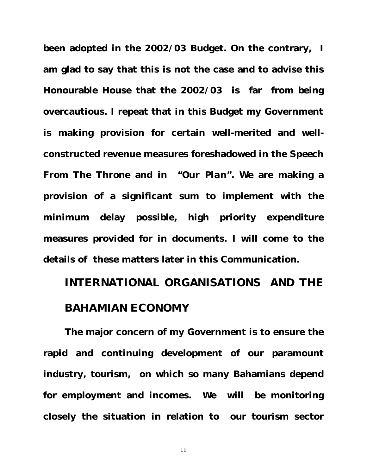**been adopted in the 2002/03 Budget. On the contrary, I am glad to say that this is not the case and to advise this Honourable House that the 2002/03 is far from being overcautious. I repeat that in this Budget my Government is making provision for certain well-merited and wellconstructed revenue measures foreshadowed in the** *Speech From The Throne* **and in** *"Our Plan"***. We are making a provision of a significant sum to implement with the minimum delay possible, high priority expenditure measures provided for in documents. I will come to the details of these matters later in this Communication.**

### **INTERNATIONAL ORGANISATIONS AND THE BAHAMIAN ECONOMY**

**The major concern of my Government is to ensure the rapid and continuing development of our paramount industry, tourism, on which so many Bahamians depend for employment and incomes. We will be monitoring closely the situation in relation to our tourism sector**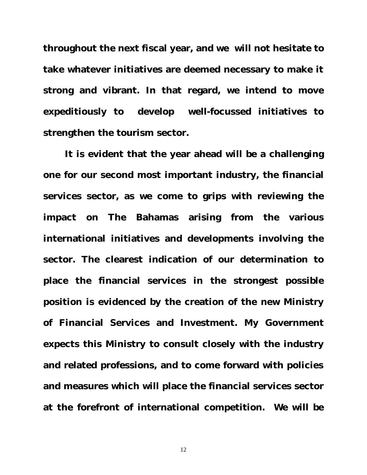**throughout the next fiscal year, and we will not hesitate to take whatever initiatives are deemed necessary to make it strong and vibrant. In that regard, we intend to move expeditiously to develop well-focussed initiatives to strengthen the tourism sector.** 

**It is evident that the year ahead will be a challenging one for our second most important industry, the financial services sector, as we come to grips with reviewing the impact on The Bahamas arising from the various international initiatives and developments involving the sector. The clearest indication of our determination to place the financial services in the strongest possible position is evidenced by the creation of the new Ministry of Financial Services and Investment. My Government expects this Ministry to consult closely with the industry and related professions, and to come forward with policies and measures which will place the financial services sector at the forefront of international competition. We will be**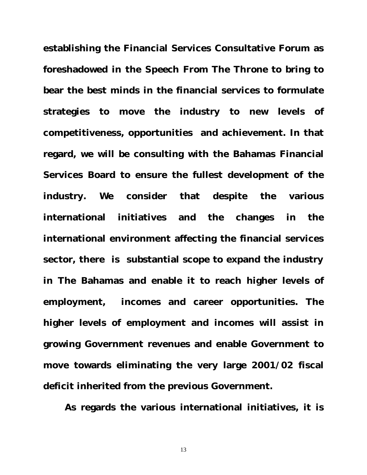**establishing the Financial Services Consultative Forum as foreshadowed in the** *Speech From The Throne* **to bring to bear the best minds in the financial services to formulate strategies to move the industry to new levels of competitiveness, opportunities and achievement. In that regard, we will be consulting with the Bahamas Financial Services Board to ensure the fullest development of the industry. We consider that despite the various international initiatives and the changes in the international environment affecting the financial services sector, there is substantial scope to expand the industry in The Bahamas and enable it to reach higher levels of employment, incomes and career opportunities. The higher levels of employment and incomes will assist in growing Government revenues and enable Government to move towards eliminating the very large 2001/02 fiscal deficit inherited from the previous Government.** 

**As regards the various international initiatives, it is**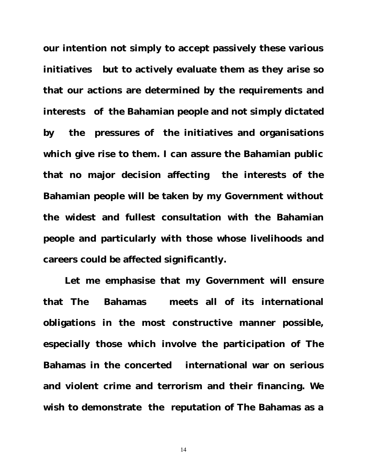**our intention not simply to accept passively these various initiatives but to actively evaluate them as they arise so that our actions are determined by the requirements and interests of the Bahamian people and not simply dictated by the pressures of the initiatives and organisations which give rise to them. I can assure the Bahamian public that no major decision affecting the interests of the Bahamian people will be taken by my Government without the widest and fullest consultation with the Bahamian people and particularly with those whose livelihoods and careers could be affected significantly.** 

**Let me emphasise that my Government will ensure that The Bahamas meets all of its international obligations in the most constructive manner possible, especially those which involve the participation of The Bahamas in the concerted international war on serious and violent crime and terrorism and their financing. We wish to demonstrate the reputation of The Bahamas as a**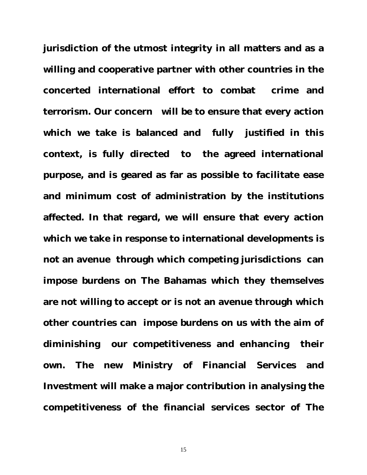**jurisdiction of the utmost integrity in all matters and as a willing and cooperative partner with other countries in the concerted international effort to combat crime and terrorism. Our concern will be to ensure that every action which we take is balanced and fully justified in this context, is fully directed to the agreed international purpose, and is geared as far as possible to facilitate ease and minimum cost of administration by the institutions affected. In that regard, we will ensure that every action which we take in response to international developments is not an avenue through which competing jurisdictions can impose burdens on The Bahamas which they themselves are not willing to accept or is not an avenue through which other countries can impose burdens on us with the aim of diminishing our competitiveness and enhancing their own. The new Ministry of Financial Services and Investment will make a major contribution in analysing the competitiveness of the financial services sector of The**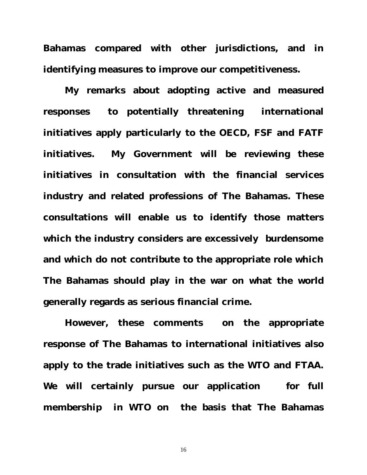**Bahamas compared with other jurisdictions, and in identifying measures to improve our competitiveness.**

**My remarks about adopting active and measured responses to potentially threatening international initiatives apply particularly to the OECD, FSF and FATF initiatives. My Government will be reviewing these initiatives in consultation with the financial services industry and related professions of The Bahamas. These consultations will enable us to identify those matters which the industry considers are excessively burdensome and which do not contribute to the appropriate role which The Bahamas should play in the war on what the world generally regards as serious financial crime.** 

**However, these comments on the appropriate response of The Bahamas to international initiatives also apply to the trade initiatives such as the WTO and FTAA. We will certainly pursue our application for full membership in WTO on the basis that The Bahamas**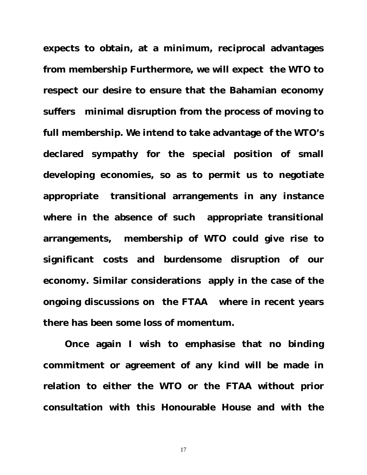**expects to obtain, at a minimum, reciprocal advantages from membership Furthermore, we will expect the WTO to respect our desire to ensure that the Bahamian economy suffers minimal disruption from the process of moving to full membership. We intend to take advantage of the WTO's declared sympathy for the special position of small developing economies, so as to permit us to negotiate appropriate transitional arrangements in any instance where in the absence of such appropriate transitional arrangements, membership of WTO could give rise to significant costs and burdensome disruption of our economy. Similar considerations apply in the case of the ongoing discussions on the FTAA where in recent years there has been some loss of momentum.** 

**Once again I wish to emphasise that no binding commitment or agreement of any kind will be made in relation to either the WTO or the FTAA without prior consultation with this Honourable House and with the**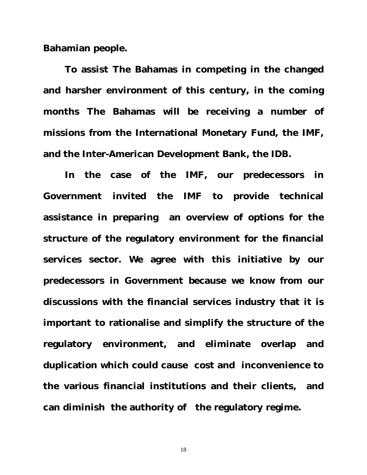**Bahamian people.** 

**To assist The Bahamas in competing in the changed and harsher environment of this century, in the coming months The Bahamas will be receiving a number of missions from the International Monetary Fund, the IMF, and the Inter-American Development Bank, the IDB.** 

**In the case of the IMF, our predecessors in Government invited the IMF to provide technical assistance in preparing an overview of options for the structure of the regulatory environment for the financial services sector. We agree with this initiative by our predecessors in Government because we know from our discussions with the financial services industry that it is important to rationalise and simplify the structure of the regulatory environment, and eliminate overlap and duplication which could cause cost and inconvenience to the various financial institutions and their clients, and can diminish the authority of the regulatory regime.**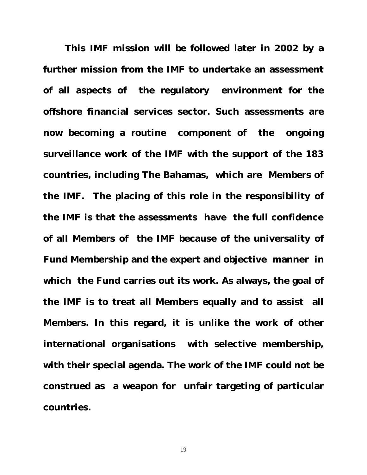**This IMF mission will be followed later in 2002 by a further mission from the IMF to undertake an assessment of all aspects of the regulatory environment for the offshore financial services sector. Such assessments are now becoming a routine component of the ongoing surveillance work of the IMF with the support of the 183 countries, including The Bahamas, which are Members of the IMF. The placing of this role in the responsibility of the IMF is that the assessments have the full confidence of all Members of the IMF because of the universality of Fund Membership and the expert and objective manner in which the Fund carries out its work. As always, the goal of the IMF is to treat all Members equally and to assist all Members. In this regard, it is unlike the work of other international organisations with selective membership, with their special agenda. The work of the IMF could not be construed as a weapon for unfair targeting of particular countries.**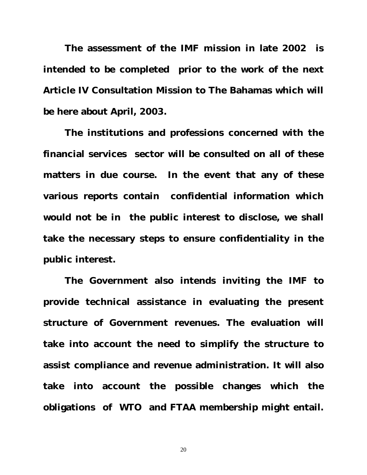**The assessment of the IMF mission in late 2002 is intended to be completed prior to the work of the next Article IV Consultation Mission to The Bahamas which will be here about April, 2003.** 

**The institutions and professions concerned with the financial services sector will be consulted on all of these matters in due course. In the event that any of these various reports contain confidential information which would not be in the public interest to disclose, we shall take the necessary steps to ensure confidentiality in the public interest.** 

**The Government also intends inviting the IMF to provide technical assistance in evaluating the present structure of Government revenues. The evaluation will take into account the need to simplify the structure to assist compliance and revenue administration. It will also take into account the possible changes which the obligations of WTO and FTAA membership might entail.**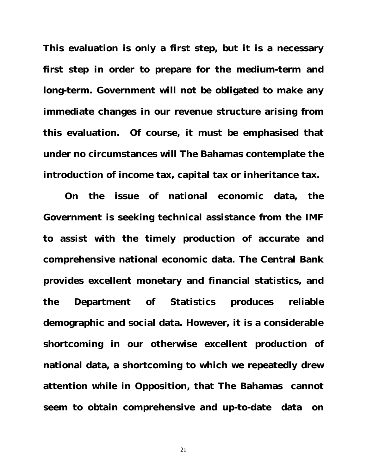**This evaluation is only a first step, but it is a necessary first step in order to prepare for the medium-term and long-term. Government will not be obligated to make any immediate changes in our revenue structure arising from this evaluation. Of course, it must be emphasised that under no circumstances will The Bahamas contemplate the introduction of income tax, capital tax or inheritance tax.**

**On the issue of national economic data, the Government is seeking technical assistance from the IMF to assist with the timely production of accurate and comprehensive national economic data. The Central Bank provides excellent monetary and financial statistics, and the Department of Statistics produces reliable demographic and social data. However, it is a considerable shortcoming in our otherwise excellent production of national data, a shortcoming to which we repeatedly drew attention while in Opposition, that The Bahamas cannot seem to obtain comprehensive and up-to-date data on**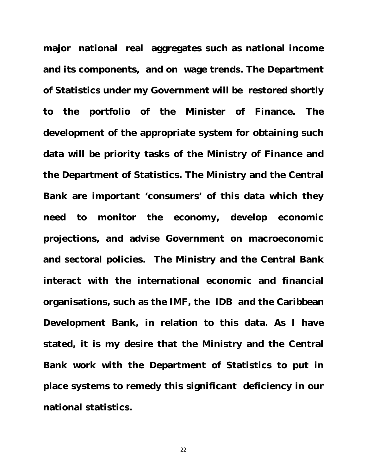**major national real aggregates such as national income and its components, and on wage trends. The Department of Statistics under my Government will be restored shortly to the portfolio of the Minister of Finance. The development of the appropriate system for obtaining such data will be priority tasks of the Ministry of Finance and the Department of Statistics. The Ministry and the Central Bank are important 'consumers' of this data which they need to monitor the economy, develop economic projections, and advise Government on macroeconomic and sectoral policies. The Ministry and the Central Bank interact with the international economic and financial organisations, such as the IMF, the IDB and the Caribbean Development Bank, in relation to this data. As I have stated, it is my desire that the Ministry and the Central Bank work with the Department of Statistics to put in place systems to remedy this significant deficiency in our national statistics.**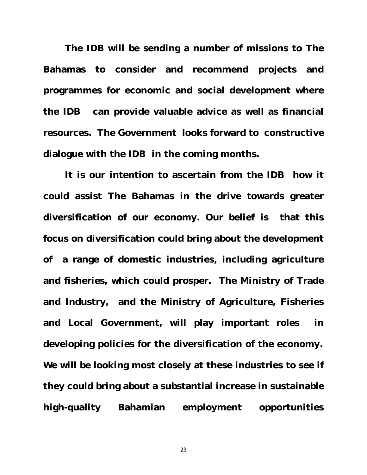**The IDB will be sending a number of missions to The Bahamas to consider and recommend projects and programmes for economic and social development where the IDB can provide valuable advice as well as financial resources. The Government looks forward to constructive dialogue with the IDB in the coming months.** 

**It is our intention to ascertain from the IDB how it could assist The Bahamas in the drive towards greater diversification of our economy. Our belief is that this focus on diversification could bring about the development of a range of domestic industries, including agriculture and fisheries, which could prosper. The Ministry of Trade and Industry, and the Ministry of Agriculture, Fisheries and Local Government, will play important roles in developing policies for the diversification of the economy. We will be looking most closely at these industries to see if they could bring about a substantial increase in sustainable high-quality Bahamian employment opportunities**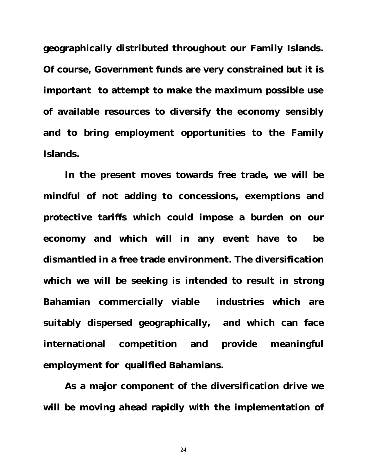**geographically distributed throughout our Family Islands. Of course, Government funds are very constrained but it is important to attempt to make the maximum possible use of available resources to diversify the economy sensibly and to bring employment opportunities to the Family Islands.**

**In the present moves towards free trade, we will be mindful of not adding to concessions, exemptions and protective tariffs which could impose a burden on our economy and which will in any event have to be dismantled in a free trade environment. The diversification which we will be seeking is intended to result in strong Bahamian commercially viable industries which are suitably dispersed geographically, and which can face international competition and provide meaningful employment for qualified Bahamians.** 

**As a major component of the diversification drive we will be moving ahead rapidly with the implementation of**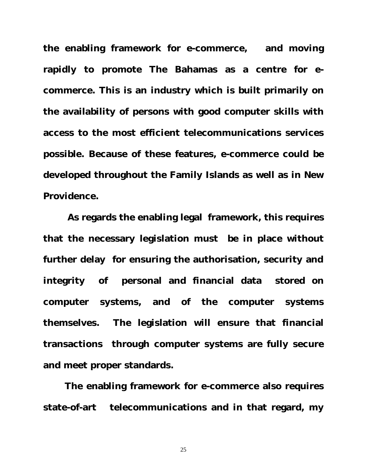**the enabling framework for e-commerce, and moving rapidly to promote The Bahamas as a centre for ecommerce. This is an industry which is built primarily on the availability of persons with good computer skills with access to the most efficient telecommunications services possible. Because of these features, e-commerce could be developed throughout the Family Islands as well as in New Providence.** 

 **As regards the enabling legal framework, this requires that the necessary legislation must be in place without further delay for ensuring the authorisation, security and integrity of personal and financial data stored on computer systems, and of the computer systems themselves. The legislation will ensure that financial transactions through computer systems are fully secure and meet proper standards.** 

**The enabling framework for e-commerce also requires state-of-art telecommunications and in that regard, my**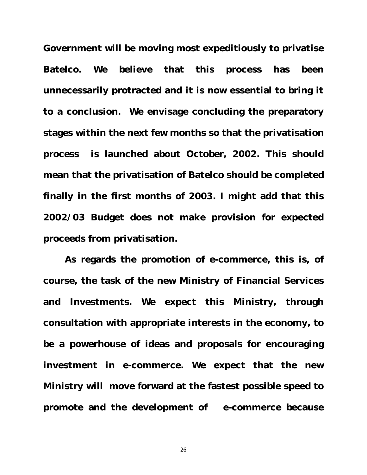**Government will be moving most expeditiously to privatise Batelco. We believe that this process has been unnecessarily protracted and it is now essential to bring it to a conclusion. We envisage concluding the preparatory stages within the next few months so that the privatisation process is launched about October, 2002. This should mean that the privatisation of Batelco should be completed finally in the first months of 2003. I might add that this 2002/03 Budget does not make provision for expected proceeds from privatisation.** 

**As regards the promotion of e-commerce, this is, of course, the task of the new Ministry of Financial Services and Investments. We expect this Ministry, through consultation with appropriate interests in the economy, to be a powerhouse of ideas and proposals for encouraging investment in e-commerce. We expect that the new Ministry will move forward at the fastest possible speed to promote and the development of e-commerce because**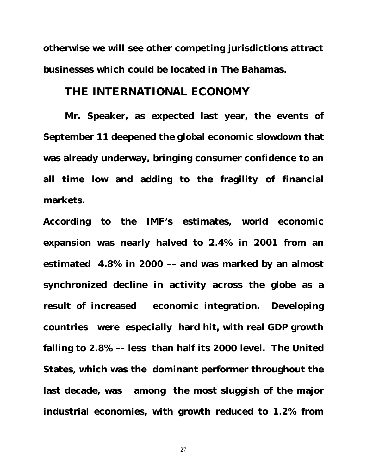**otherwise we will see other competing jurisdictions attract businesses which could be located in The Bahamas.** 

#### **THE INTERNATIONAL ECONOMY**

**Mr. Speaker, as expected last year, the events of September 11 deepened the global economic slowdown that was already underway, bringing consumer confidence to an all time low and adding to the fragility of financial markets.** 

**According to the IMF's estimates, world economic expansion was nearly halved to 2.4% in 2001 from an estimated 4.8% in 2000 –– and was marked by an almost synchronized decline in activity across the globe as a result of increased economic integration. Developing countries were especially hard hit, with real GDP growth falling to 2.8% –– less than half its 2000 level. The United States, which was the dominant performer throughout the last decade, was among the most sluggish of the major industrial economies, with growth reduced to 1.2% from**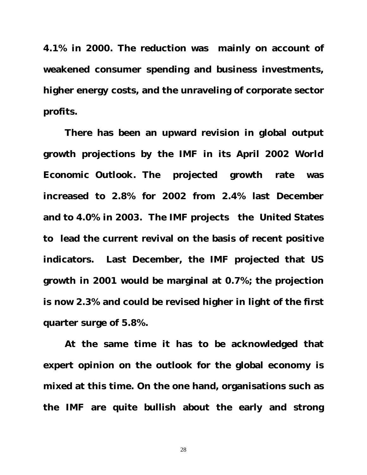**4.1% in 2000. The reduction was mainly on account of weakened consumer spending and business investments, higher energy costs, and the unraveling of corporate sector profits.**

**There has been an upward revision in global output growth projections by the IMF in its April 2002** *World Economic Outlook.* **The projected growth rate was increased to 2.8% for 2002 from 2.4% last December and to 4.0% in 2003. The IMF projects the United States to lead the current revival on the basis of recent positive indicators. Last December, the IMF projected that US growth in 2001 would be marginal at 0.7%; the projection is now 2.3% and could be revised higher in light of the first quarter surge of 5.8%.**

**At the same time it has to be acknowledged that expert opinion on the outlook for the global economy is mixed at this time. On the one hand, organisations such as the IMF are quite bullish about the early and strong**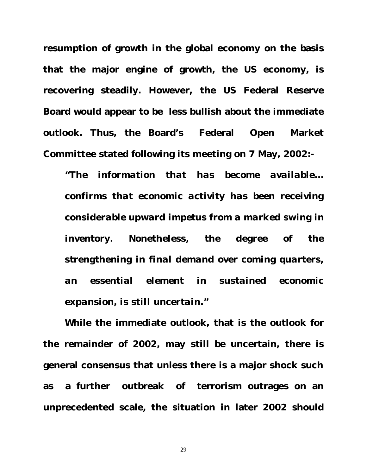**resumption of growth in the global economy on the basis that the major engine of growth, the US economy, is recovering steadily. However, the US Federal Reserve Board would appear to be less bullish about the immediate outlook. Thus, the Board's Federal Open Market Committee stated following its meeting on 7 May, 2002:-**

*"The information that has become available... confirms that economic activity has been receiving considerable upward impetus from a marked swing in inventory. Nonetheless, the degree of the strengthening in final demand over coming quarters, an essential element in sustained economic expansion, is still uncertain."* 

**While the immediate outlook, that is the outlook for the remainder of 2002, may still be uncertain, there is general consensus that unless there is a major shock such as a further outbreak of terrorism outrages on an unprecedented scale, the situation in later 2002 should**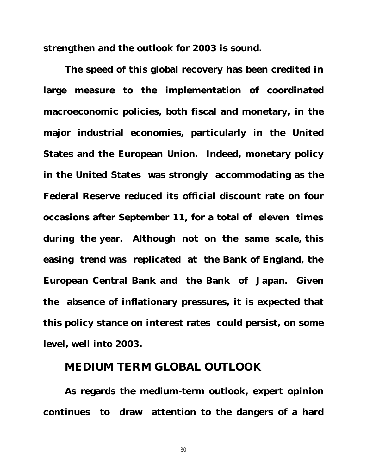**strengthen and the outlook for 2003 is sound.** 

**The speed of this global recovery has been credited in large measure to the implementation of coordinated macroeconomic policies, both fiscal and monetary, in the major industrial economies, particularly in the United States and the European Union. Indeed, monetary policy in the United States was strongly accommodating as the Federal Reserve reduced its official discount rate on four occasions after September 11, for a total of eleven times during the year. Although not on the same scale, this easing trend was replicated at the Bank of England, the European Central Bank and the Bank of Japan. Given the absence of inflationary pressures, it is expected that this policy stance on interest rates could persist, on some level, well into 2003.**

#### **MEDIUM TERM GLOBAL OUTLOOK**

**As regards the medium-term outlook, expert opinion continues to draw attention to the dangers of a hard**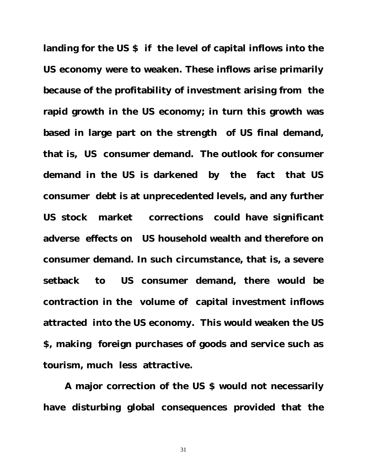**landing for the US \$ if the level of capital inflows into the US economy were to weaken. These inflows arise primarily because of the profitability of investment arising from the rapid growth in the US economy; in turn this growth was based in large part on the strength of US final demand, that is, US consumer demand. The outlook for consumer demand in the US is darkened by the fact that US consumer debt is at unprecedented levels, and any further US stock market corrections could have significant adverse effects on US household wealth and therefore on consumer demand. In such circumstance, that is, a severe setback to US consumer demand, there would be contraction in the volume of capital investment inflows attracted into the US economy. This would weaken the US \$, making foreign purchases of goods and service such as tourism, much less attractive.**

**A major correction of the US \$ would not necessarily have disturbing global consequences provided that the**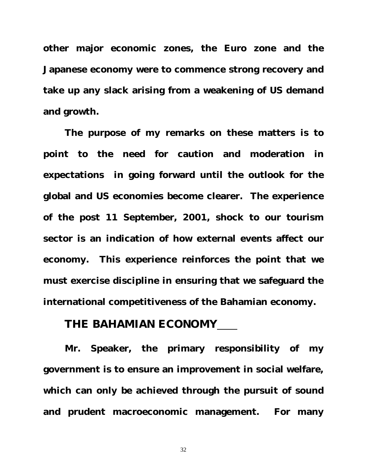**other major economic zones, the Euro zone and the Japanese economy were to commence strong recovery and take up any slack arising from a weakening of US demand and growth.** 

**The purpose of my remarks on these matters is to point to the need for caution and moderation in expectations in going forward until the outlook for the global and US economies become clearer. The experience of the post 11 September, 2001, shock to our tourism sector is an indication of how external events affect our economy. This experience reinforces the point that we must exercise discipline in ensuring that we safeguard the international competitiveness of the Bahamian economy.** 

#### **THE BAHAMIAN ECONOMY**

**Mr. Speaker, the primary responsibility of my government is to ensure an improvement in social welfare, which can only be achieved through the pursuit of sound and prudent macroeconomic management. For many**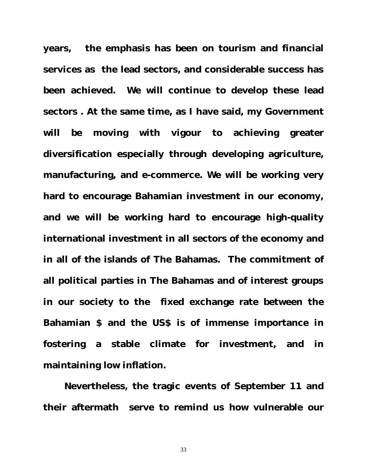**years, the emphasis has been on tourism and financial services as the lead sectors, and considerable success has been achieved. We will continue to develop these lead sectors . At the same time, as I have said, my Government will be moving with vigour to achieving greater diversification especially through developing agriculture, manufacturing, and e-commerce. We will be working very hard to encourage Bahamian investment in our economy, and we will be working hard to encourage high-quality international investment in all sectors of the economy and in all of the islands of The Bahamas. The commitment of all political parties in The Bahamas and of interest groups in our society to the fixed exchange rate between the Bahamian \$ and the US\$ is of immense importance in fostering a stable climate for investment, and in maintaining low inflation.**

 **Nevertheless, the tragic events of September 11 and their aftermath serve to remind us how vulnerable our**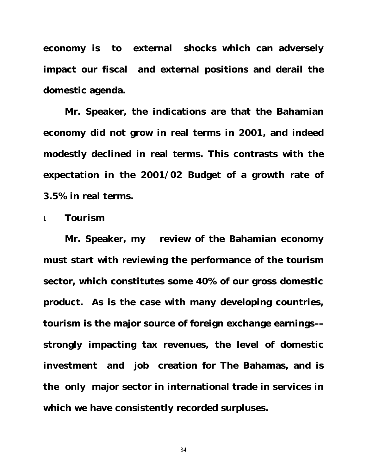**economy is to external shocks which can adversely impact our fiscal and external positions and derail the domestic agenda.** 

**Mr. Speaker, the indications are that the Bahamian economy did not grow in real terms in 2001, and indeed modestly declined in real terms. This contrasts with the expectation in the 2001/02 Budget of a growth rate of 3.5% in real terms.** 

ι *Tourism*

**Mr. Speaker, my review of the Bahamian economy must start with reviewing the performance of the tourism sector, which constitutes some 40% of our gross domestic product. As is the case with many developing countries, tourism is the major source of foreign exchange earnings–– strongly impacting tax revenues, the level of domestic investment and job creation for The Bahamas, and is the only major sector in international trade in services in which we have consistently recorded surpluses.**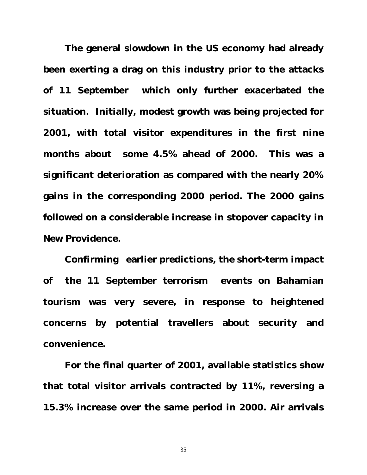**The general slowdown in the US economy had already been exerting a drag on this industry prior to the attacks of 11 September which only further exacerbated the situation. Initially, modest growth was being projected for 2001, with total visitor expenditures in the first nine months about some 4.5% ahead of 2000. This was a significant deterioration as compared with the nearly 20% gains in the corresponding 2000 period. The 2000 gains followed on a considerable increase in stopover capacity in New Providence.**

**Confirming earlier predictions, the short-term impact of the 11 September terrorism events on Bahamian tourism was very severe, in response to heightened concerns by potential travellers about security and convenience.** 

**For the final quarter of 2001, available statistics show that total visitor arrivals contracted by 11%, reversing a 15.3% increase over the same period in 2000. Air arrivals**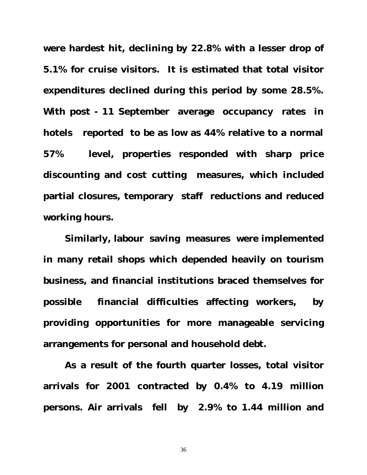**were hardest hit, declining by 22.8% with a lesser drop of 5.1% for cruise visitors. It is estimated that total visitor expenditures declined during this period by some 28.5%. With post - 11 September average occupancy rates in hotels reported to be as low as 44% relative to a normal 57% level, properties responded with sharp price discounting and cost cutting measures, which included partial closures, temporary staff reductions and reduced working hours.**

**Similarly, labour saving measures were implemented in many retail shops which depended heavily on tourism business, and financial institutions braced themselves for possible financial difficulties affecting workers, by providing opportunities for more manageable servicing arrangements for personal and household debt.** 

**As a result of the fourth quarter losses, total visitor arrivals for 2001 contracted by 0.4% to 4.19 million persons. Air arrivals fell by 2.9% to 1.44 million and**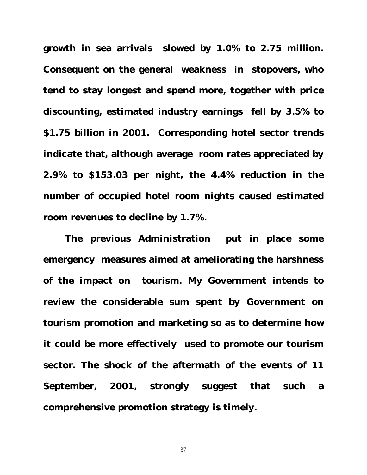**growth in sea arrivals slowed by 1.0% to 2.75 million. Consequent on the general weakness in stopovers, who tend to stay longest and spend more, together with price discounting, estimated industry earnings fell by 3.5% to \$1.75 billion in 2001. Corresponding hotel sector trends indicate that, although average room rates appreciated by 2.9% to \$153.03 per night, the 4.4% reduction in the number of occupied hotel room nights caused estimated room revenues to decline by 1.7%.**

**The previous Administration put in place some emergency measures aimed at ameliorating the harshness of the impact on tourism. My Government intends to review the considerable sum spent by Government on tourism promotion and marketing so as to determine how it could be more effectively used to promote our tourism sector. The shock of the aftermath of the events of 11 September, 2001, strongly suggest that such a comprehensive promotion strategy is timely.**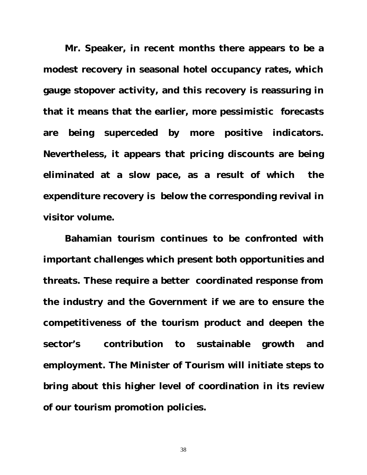**Mr. Speaker, in recent months there appears to be a modest recovery in seasonal hotel occupancy rates, which gauge stopover activity, and this recovery is reassuring in that it means that the earlier, more pessimistic forecasts are being superceded by more positive indicators. Nevertheless, it appears that pricing discounts are being eliminated at a slow pace, as a result of which the expenditure recovery is below the corresponding revival in visitor volume.**

**Bahamian tourism continues to be confronted with important challenges which present both opportunities and threats. These require a better coordinated response from the industry and the Government if we are to ensure the competitiveness of the tourism product and deepen the sector's contribution to sustainable growth and employment. The Minister of Tourism will initiate steps to bring about this higher level of coordination in its review of our tourism promotion policies.**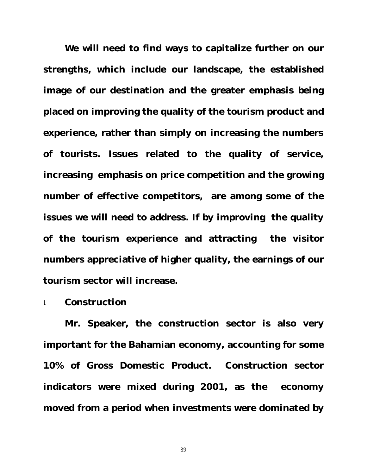**We will need to find ways to capitalize further on our strengths, which include our landscape, the established image of our destination and the greater emphasis being placed on improving the quality of the tourism product and experience, rather than simply on increasing the numbers of tourists. Issues related to the quality of service, increasing emphasis on price competition and the growing number of effective competitors, are among some of the issues we will need to address. If by improving the quality of the tourism experience and attracting the visitor numbers appreciative of higher quality, the earnings of our tourism sector will increase.** 

#### ι *Construction*

**Mr. Speaker, the construction sector is also very important for the Bahamian economy, accounting for some 10% of Gross Domestic Product. Construction sector indicators were mixed during 2001, as the economy moved from a period when investments were dominated by**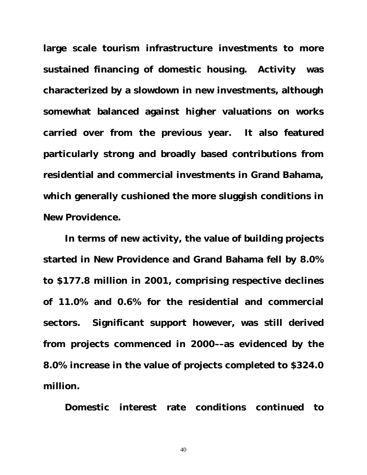**large scale tourism infrastructure investments to more sustained financing of domestic housing. Activity was characterized by a slowdown in new investments, although somewhat balanced against higher valuations on works carried over from the previous year. It also featured particularly strong and broadly based contributions from residential and commercial investments in Grand Bahama, which generally cushioned the more sluggish conditions in New Providence.**

**In terms of new activity, the value of building projects started in New Providence and Grand Bahama fell by 8.0% to \$177.8 million in 2001, comprising respective declines of 11.0% and 0.6% for the residential and commercial sectors. Significant support however, was still derived from projects commenced in 2000––as evidenced by the 8.0% increase in the value of projects completed to \$324.0 million.**

**Domestic interest rate conditions continued to**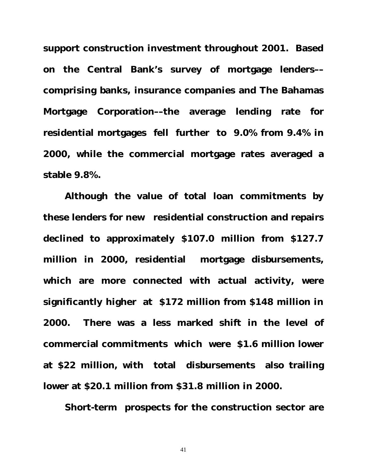**support construction investment throughout 2001. Based on the Central Bank's survey of mortgage lenders–– comprising banks, insurance companies and The Bahamas Mortgage Corporation––the average lending rate for residential mortgages fell further to 9.0% from 9.4% in 2000, while the commercial mortgage rates averaged a stable 9.8%.** 

**Although the value of total loan commitments by these lenders for new residential construction and repairs declined to approximately \$107.0 million from \$127.7 million in 2000, residential mortgage disbursements, which are more connected with actual activity, were significantly higher at \$172 million from \$148 million in 2000. There was a less marked shift in the level of commercial commitments which were \$1.6 million lower at \$22 million, with total disbursements also trailing lower at \$20.1 million from \$31.8 million in 2000.**

**Short-term prospects for the construction sector are**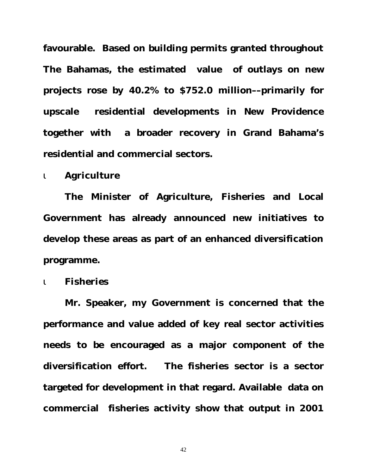**favourable. Based on building permits granted throughout The Bahamas, the estimated value of outlays on new projects rose by 40.2% to \$752.0 million––primarily for upscale residential developments in New Providence together with a broader recovery in Grand Bahama's residential and commercial sectors.** 

#### *i Agriculture*

**The Minister of Agriculture, Fisheries and Local Government has already announced new initiatives to develop these areas as part of an enhanced diversification programme.**

#### ι *Fisheries*

**Mr. Speaker, my Government is concerned that the performance and value added of key real sector activities needs to be encouraged as a major component of the diversification effort. The fisheries sector is a sector targeted for development in that regard. Available data on commercial fisheries activity show that output in 2001**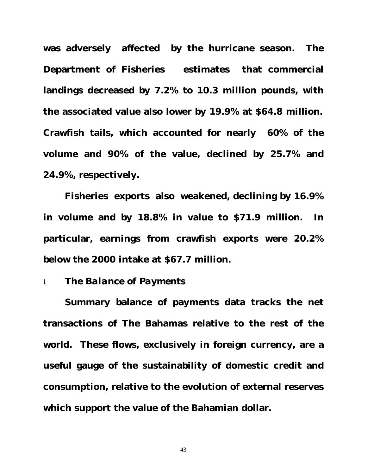**was adversely affected by the hurricane season. The Department of Fisheries estimates that commercial landings decreased by 7.2% to 10.3 million pounds, with the associated value also lower by 19.9% at \$64.8 million. Crawfish tails, which accounted for nearly 60% of the volume and 90% of the value, declined by 25.7% and 24.9%, respectively.**

**Fisheries exports also weakened, declining by 16.9% in volume and by 18.8% in value to \$71.9 million. In particular, earnings from crawfish exports were 20.2% below the 2000 intake at \$67.7 million.**

#### ι *The Balance of Payments*

**Summary balance of payments data tracks the net transactions of The Bahamas relative to the rest of the world. These flows, exclusively in foreign currency, are a useful gauge of the sustainability of domestic credit and consumption, relative to the evolution of external reserves which support the value of the Bahamian dollar.**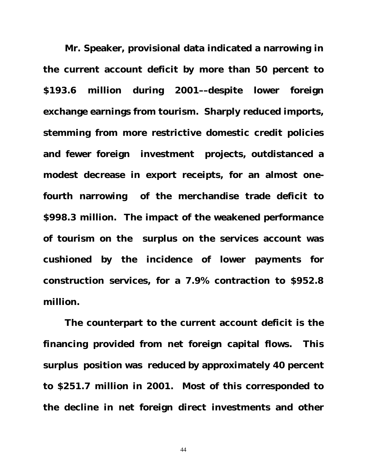**Mr. Speaker, provisional data indicated a narrowing in the current account deficit by more than 50 percent to \$193.6 million during 2001––despite lower foreign exchange earnings from tourism. Sharply reduced imports, stemming from more restrictive domestic credit policies and fewer foreign investment projects, outdistanced a modest decrease in export receipts, for an almost onefourth narrowing of the merchandise trade deficit to \$998.3 million. The impact of the weakened performance of tourism on the surplus on the services account was cushioned by the incidence of lower payments for construction services, for a 7.9% contraction to \$952.8 million.**

**The counterpart to the current account deficit is the financing provided from net foreign capital flows. This surplus position was reduced by approximately 40 percent to \$251.7 million in 2001. Most of this corresponded to the decline in net foreign direct investments and other**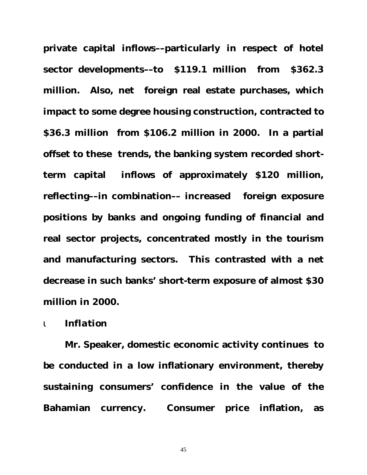**private capital inflows––particularly in respect of hotel sector developments––to \$119.1 million from \$362.3 million. Also, net foreign real estate purchases, which impact to some degree housing construction, contracted to \$36.3 million from \$106.2 million in 2000. In a partial offset to these trends, the banking system recorded shortterm capital inflows of approximately \$120 million, reflecting––in combination–– increased foreign exposure positions by banks and ongoing funding of financial and real sector projects, concentrated mostly in the tourism and manufacturing sectors. This contrasted with a net decrease in such banks' short-term exposure of almost \$30 million in 2000.**

#### ι *Inflation*

**Mr. Speaker, domestic economic activity continues to be conducted in a low inflationary environment, thereby sustaining consumers' confidence in the value of the Bahamian currency. Consumer price inflation, as**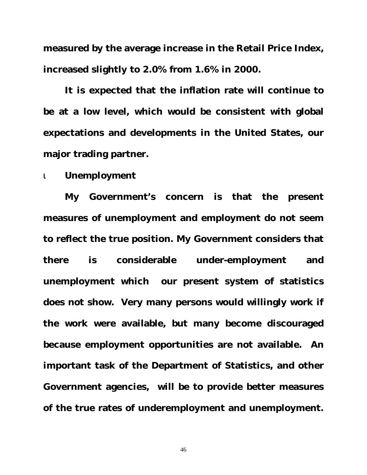**measured by the average increase in the Retail Price Index, increased slightly to 2.0% from 1.6% in 2000.**

**It is expected that the inflation rate will continue to be at a low level, which would be consistent with global expectations and developments in the United States, our major trading partner.**

#### ι *Unemployment*

**My Government's concern is that the present measures of unemployment and employment do not seem to reflect the true position. My Government considers that there is considerable under-employment and unemployment which our present system of statistics does not show. Very many persons would willingly work if the work were available, but many become discouraged because employment opportunities are not available. An important task of the Department of Statistics, and other Government agencies, will be to provide better measures of the true rates of underemployment and unemployment.**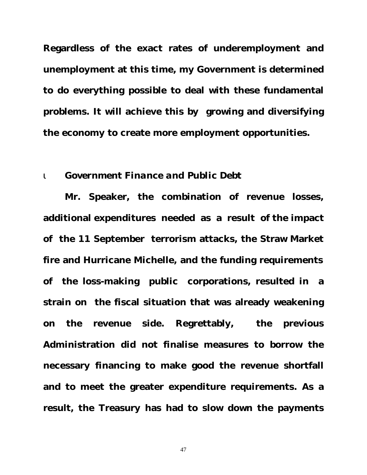**Regardless of the exact rates of underemployment and unemployment at this time, my Government is determined to do everything possible to deal with these fundamental problems. It will achieve this by growing and diversifying the economy to create more employment opportunities.**

#### ι *Government Finance and Public Debt*

**Mr. Speaker, the combination of revenue losses, additional expenditures needed as a result of the impact of the 11 September terrorism attacks, the Straw Market fire and Hurricane Michelle, and the funding requirements of the loss-making public corporations, resulted in a strain on the fiscal situation that was already weakening on the revenue side. Regrettably, the previous Administration did not finalise measures to borrow the necessary financing to make good the revenue shortfall and to meet the greater expenditure requirements. As a result, the Treasury has had to slow down the payments**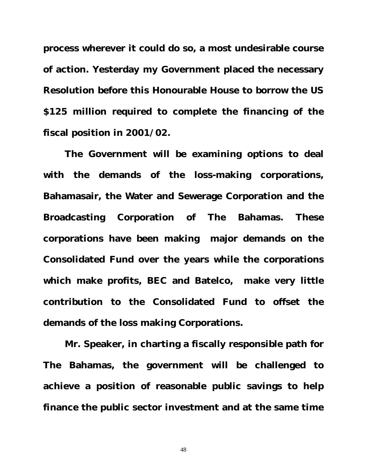**process wherever it could do so, a most undesirable course of action. Yesterday my Government placed the necessary Resolution before this Honourable House to borrow the US \$125 million required to complete the financing of the fiscal position in 2001/02.** 

**The Government will be examining options to deal with the demands of the loss-making corporations, Bahamasair, the Water and Sewerage Corporation and the Broadcasting Corporation of The Bahamas. These corporations have been making major demands on the Consolidated Fund over the years while the corporations which make profits, BEC and Batelco, make very little contribution to the Consolidated Fund to offset the demands of the loss making Corporations.** 

**Mr. Speaker, in charting a fiscally responsible path for The Bahamas, the government will be challenged to achieve a position of reasonable public savings to help finance the public sector investment and at the same time**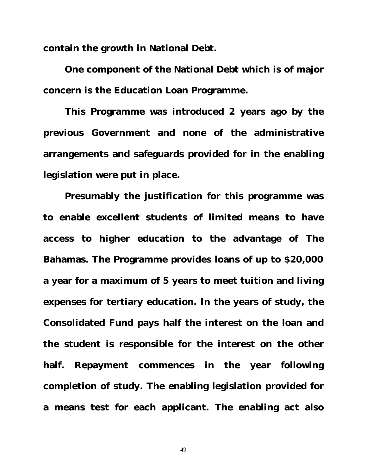**contain the growth in National Debt.**

**One component of the National Debt which is of major concern is the Education Loan Programme.** 

**This Programme was introduced 2 years ago by the previous Government and none of the administrative arrangements and safeguards provided for in the enabling legislation were put in place.** 

**Presumably the justification for this programme was to enable excellent students of limited means to have access to higher education to the advantage of The Bahamas. The Programme provides loans of up to \$20,000 a year for a maximum of 5 years to meet tuition and living expenses for tertiary education. In the years of study, the Consolidated Fund pays half the interest on the loan and the student is responsible for the interest on the other half. Repayment commences in the year following completion of study. The enabling legislation provided for a means test for each applicant. The enabling act also**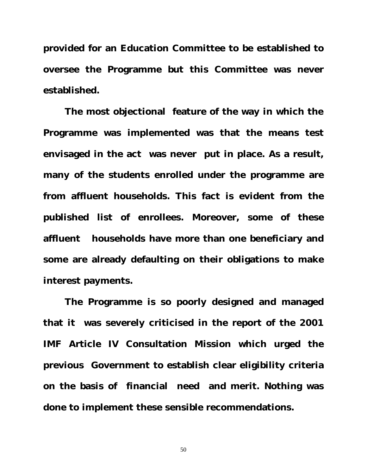**provided for an Education Committee to be established to oversee the Programme but this Committee was never established.** 

**The most objectional feature of the way in which the Programme was implemented was that the means test envisaged in the act was never put in place. As a result, many of the students enrolled under the programme are from affluent households. This fact is evident from the published list of enrollees. Moreover, some of these affluent households have more than one beneficiary and some are already defaulting on their obligations to make interest payments.** 

**The Programme is so poorly designed and managed that it was severely criticised in the report of the 2001 IMF Article IV Consultation Mission which urged the previous Government to establish clear eligibility criteria on the basis of financial need and merit. Nothing was done to implement these sensible recommendations.**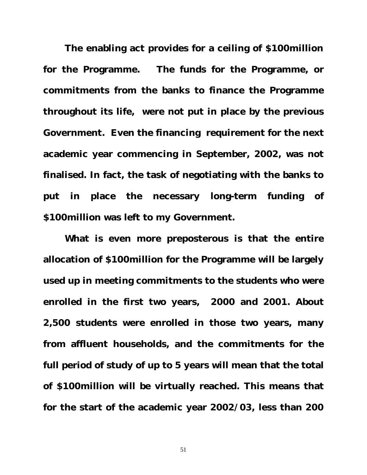**The enabling act provides for a ceiling of \$100million for the Programme. The funds for the Programme, or commitments from the banks to finance the Programme throughout its life, were not put in place by the previous Government. Even the financing requirement for the next academic year commencing in September, 2002, was not finalised. In fact, the task of negotiating with the banks to put in place the necessary long-term funding of \$100million was left to my Government.** 

**What is even more preposterous is that the entire allocation of \$100million for the Programme will be largely used up in meeting commitments to the students who were enrolled in the first two years, 2000 and 2001. About 2,500 students were enrolled in those two years, many from affluent households, and the commitments for the full period of study of up to 5 years will mean that the total of \$100million will be virtually reached. This means that for the start of the academic year 2002/03, less than 200**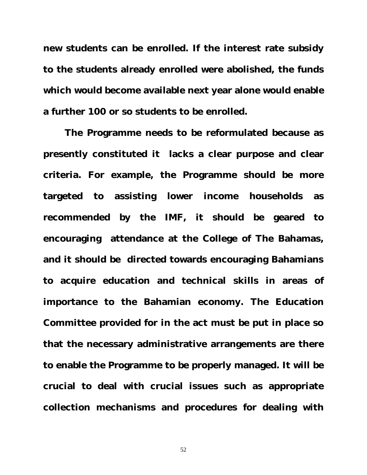**new students can be enrolled. If the interest rate subsidy to the students already enrolled were abolished, the funds which would become available next year alone would enable a further 100 or so students to be enrolled.** 

**The Programme needs to be reformulated because as presently constituted it lacks a clear purpose and clear criteria. For example, the Programme should be more targeted to assisting lower income households as recommended by the IMF, it should be geared to encouraging attendance at the College of The Bahamas, and it should be directed towards encouraging Bahamians to acquire education and technical skills in areas of importance to the Bahamian economy. The Education Committee provided for in the act must be put in place so that the necessary administrative arrangements are there to enable the Programme to be properly managed. It will be crucial to deal with crucial issues such as appropriate collection mechanisms and procedures for dealing with**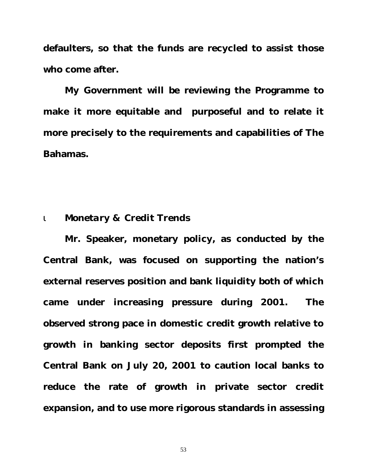**defaulters, so that the funds are recycled to assist those who come after.**

**My Government will be reviewing the Programme to make it more equitable and purposeful and to relate it more precisely to the requirements and capabilities of The Bahamas.**

#### ι *Monetary & Credit Trend***s**

**Mr. Speaker, monetary policy, as conducted by the Central Bank, was focused on supporting the nation's external reserves position and bank liquidity both of which came under increasing pressure during 2001. The observed strong pace in domestic credit growth relative to growth in banking sector deposits first prompted the Central Bank on July 20, 2001 to caution local banks to reduce the rate of growth in private sector credit expansion, and to use more rigorous standards in assessing**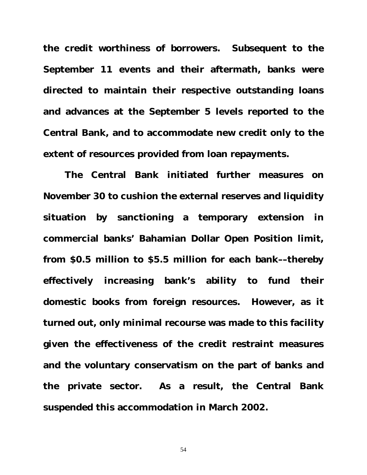**the credit worthiness of borrowers. Subsequent to the September 11 events and their aftermath, banks were directed to maintain their respective outstanding loans and advances at the September 5 levels reported to the Central Bank, and to accommodate new credit only to the extent of resources provided from loan repayments.**

**The Central Bank initiated further measures on November 30 to cushion the external reserves and liquidity situation by sanctioning a temporary extension in commercial banks' Bahamian Dollar Open Position limit, from \$0.5 million to \$5.5 million for each bank––thereby effectively increasing bank's ability to fund their domestic books from foreign resources. However, as it turned out, only minimal recourse was made to this facility given the effectiveness of the credit restraint measures and the voluntary conservatism on the part of banks and the private sector. As a result, the Central Bank suspended this accommodation in March 2002.**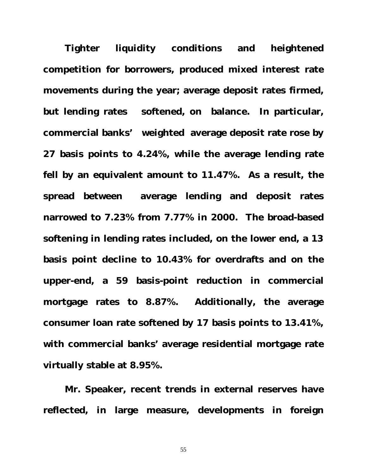**Tighter liquidity conditions and heightened competition for borrowers, produced mixed interest rate movements during the year; average deposit rates firmed, but lending rates softened, on balance. In particular, commercial banks' weighted average deposit rate rose by 27 basis points to 4.24%, while the average lending rate fell by an equivalent amount to 11.47%. As a result, the spread between average lending and deposit rates narrowed to 7.23% from 7.77% in 2000. The broad-based softening in lending rates included, on the lower end, a 13 basis point decline to 10.43% for overdrafts and on the upper-end, a 59 basis-point reduction in commercial mortgage rates to 8.87%. Additionally, the average consumer loan rate softened by 17 basis points to 13.41%, with commercial banks' average residential mortgage rate virtually stable at 8.95%.**

**Mr. Speaker, recent trends in external reserves have reflected, in large measure, developments in foreign**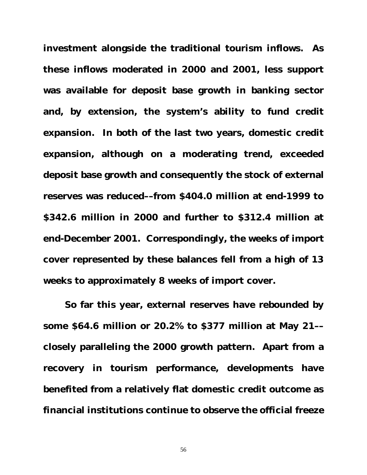**investment alongside the traditional tourism inflows. As these inflows moderated in 2000 and 2001, less support was available for deposit base growth in banking sector and, by extension, the system's ability to fund credit expansion. In both of the last two years, domestic credit expansion, although on a moderating trend, exceeded deposit base growth and consequently the stock of external reserves was reduced––from \$404.0 million at end-1999 to \$342.6 million in 2000 and further to \$312.4 million at end-December 2001. Correspondingly, the weeks of import cover represented by these balances fell from a high of 13 weeks to approximately 8 weeks of import cover.** 

**So far this year, external reserves have rebounded by some \$64.6 million or 20.2% to \$377 million at May 21–– closely paralleling the 2000 growth pattern. Apart from a recovery in tourism performance, developments have benefited from a relatively flat domestic credit outcome as financial institutions continue to observe the official freeze**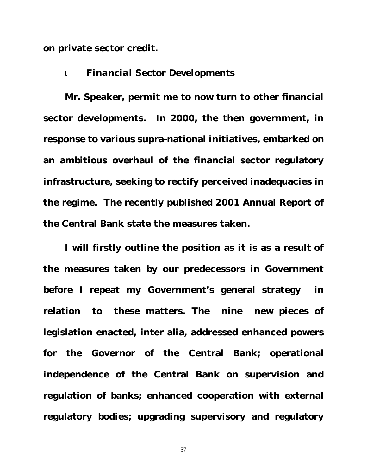**on private sector credit.**

#### ι *Financial Sector Developments*

**Mr. Speaker, permit me to now turn to other financial sector developments. In 2000, the then government, in response to various supra-national initiatives, embarked on an ambitious overhaul of the financial sector regulatory infrastructure, seeking to rectify perceived inadequacies in the regime. The recently published 2001 Annual Report of the Central Bank state the measures taken.**

**I will firstly outline the position as it is as a result of the measures taken by our predecessors in Government before I repeat my Government's general strategy in relation to these matters. The nine new pieces of legislation enacted, inter alia, addressed enhanced powers for the Governor of the Central Bank; operational independence of the Central Bank on supervision and regulation of banks; enhanced cooperation with external regulatory bodies; upgrading supervisory and regulatory**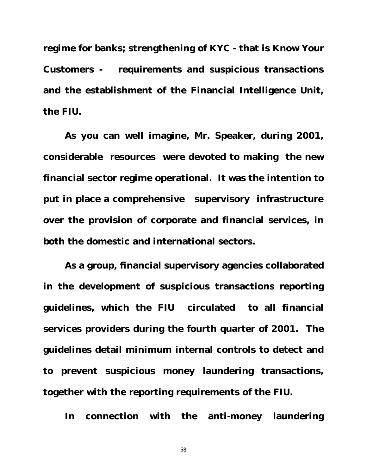**regime for banks; strengthening of KYC - that is Know Your Customers - requirements and suspicious transactions and the establishment of the Financial Intelligence Unit, the FIU.**

**As you can well imagine, Mr. Speaker, during 2001, considerable resources were devoted to making the new financial sector regime operational. It was the intention to put in place a comprehensive supervisory infrastructure over the provision of corporate and financial services, in both the domestic and international sectors.** 

**As a group, financial supervisory agencies collaborated in the development of suspicious transactions reporting guidelines, which the FIU circulated to all financial services providers during the fourth quarter of 2001. The guidelines detail minimum internal controls to detect and to prevent suspicious money laundering transactions, together with the reporting requirements of the FIU.**

**In connection with the anti-money laundering**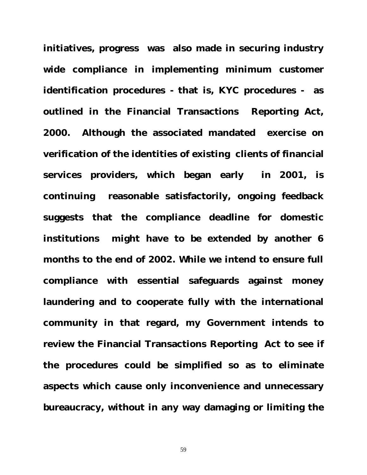**initiatives, progress was also made in securing industry wide compliance in implementing minimum customer identification procedures - that is, KYC procedures - as outlined in the Financial Transactions Reporting Act, 2000. Although the associated mandated exercise on verification of the identities of existing clients of financial services providers, which began early in 2001, is continuing reasonable satisfactorily, ongoing feedback suggests that the compliance deadline for domestic institutions might have to be extended by another 6 months to the end of 2002. While we intend to ensure full compliance with essential safeguards against money laundering and to cooperate fully with the international community in that regard, my Government intends to review the Financial Transactions Reporting Act to see if the procedures could be simplified so as to eliminate aspects which cause only inconvenience and unnecessary bureaucracy, without in any way damaging or limiting the**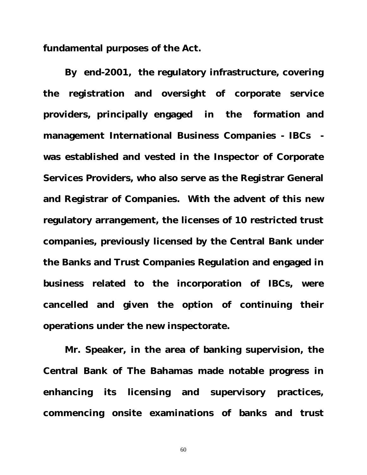**fundamental purposes of the Act.**

**By end-2001, the regulatory infrastructure, covering the registration and oversight of corporate service providers, principally engaged in the formation and management International Business Companies - IBCs was established and vested in the Inspector of Corporate Services Providers, who also serve as the Registrar General and Registrar of Companies. With the advent of this new regulatory arrangement, the licenses of 10 restricted trust companies, previously licensed by the Central Bank under the Banks and Trust Companies Regulation and engaged in business related to the incorporation of IBCs, were cancelled and given the option of continuing their operations under the new inspectorate.**

**Mr. Speaker, in the area of banking supervision, the Central Bank of The Bahamas made notable progress in enhancing its licensing and supervisory practices, commencing onsite examinations of banks and trust**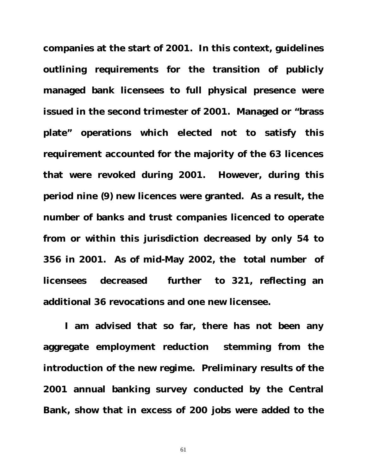**companies at the start of 2001. In this context, guidelines outlining requirements for the transition of publicly managed bank licensees to full physical presence were issued in the second trimester of 2001. Managed or "brass plate" operations which elected not to satisfy this requirement accounted for the majority of the 63 licences that were revoked during 2001. However, during this period nine (9) new licences were granted. As a result, the number of banks and trust companies licenced to operate from or within this jurisdiction decreased by only 54 to 356 in 2001. As of mid-May 2002, the total number of licensees decreased further to 321, reflecting an additional 36 revocations and one new licensee.**

**I am advised that so far, there has not been any aggregate employment reduction stemming from the introduction of the new regime. Preliminary results of the 2001 annual banking survey conducted by the Central Bank, show that in excess of 200 jobs were added to the**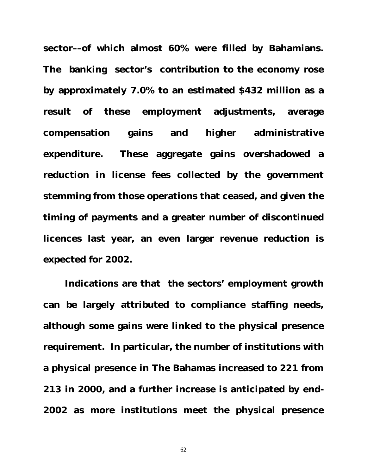**sector––of which almost 60% were filled by Bahamians. The banking sector's contribution to the economy rose by approximately 7.0% to an estimated \$432 million as a result of these employment adjustments, average compensation gains and higher administrative expenditure. These aggregate gains overshadowed a reduction in license fees collected by the government stemming from those operations that ceased, and given the timing of payments and a greater number of discontinued licences last year, an even larger revenue reduction is expected for 2002.**

**Indications are that the sectors' employment growth can be largely attributed to compliance staffing needs, although some gains were linked to the physical presence requirement. In particular, the number of institutions with a physical presence in The Bahamas increased to 221 from 213 in 2000, and a further increase is anticipated by end-2002 as more institutions meet the physical presence**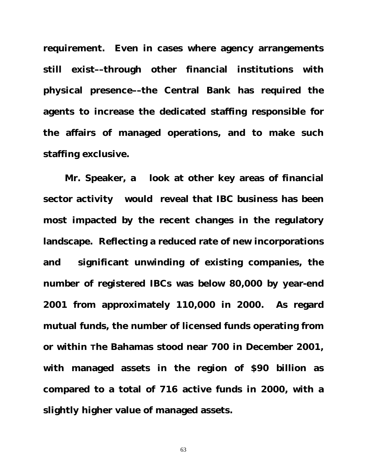**requirement. Even in cases where agency arrangements still exist––through other financial institutions with physical presence––the Central Bank has required the agents to increase the dedicated staffing responsible for the affairs of managed operations, and to make such staffing exclusive.** 

**Mr. Speaker, a look at other key areas of financial sector activity would reveal that IBC business has been most impacted by the recent changes in the regulatory landscape. Reflecting a reduced rate of new incorporations and significant unwinding of existing companies, the number of registered IBCs was below 80,000 by year-end 2001 from approximately 110,000 in 2000. As regard mutual funds, the number of licensed funds operating from or within The Bahamas stood near 700 in December 2001, with managed assets in the region of \$90 billion as compared to a total of 716 active funds in 2000, with a slightly higher value of managed assets.**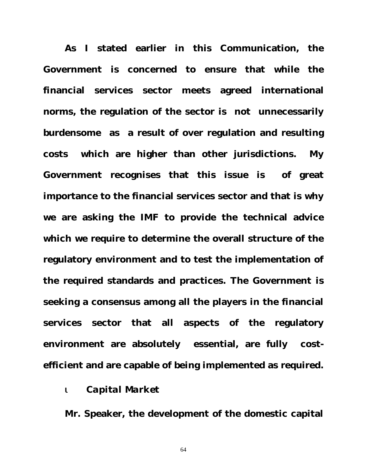**As I stated earlier in this Communication, the Government is concerned to ensure that while the financial services sector meets agreed international norms, the regulation of the sector is not unnecessarily burdensome as a result of over regulation and resulting costs which are higher than other jurisdictions. My Government recognises that this issue is of great importance to the financial services sector and that is why we are asking the IMF to provide the technical advice which we require to determine the overall structure of the regulatory environment and to test the implementation of the required standards and practices. The Government is seeking a consensus among all the players in the financial services sector that all aspects of the regulatory environment are absolutely essential, are fully costefficient and are capable of being implemented as required.**

#### ι *Capital Market*

**Mr. Speaker, the development of the domestic capital**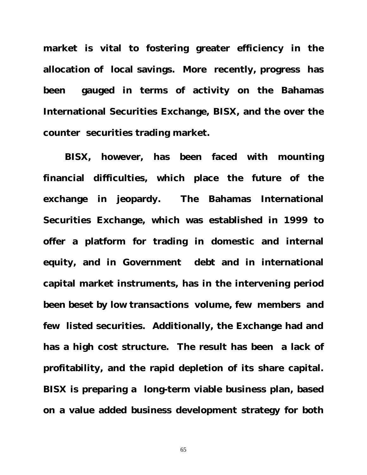**market is vital to fostering greater efficiency in the allocation of local savings. More recently, progress has been gauged in terms of activity on the Bahamas International Securities Exchange, BISX, and the over the counter securities trading market.**

**BISX, however, has been faced with mounting financial difficulties, which place the future of the exchange in jeopardy. The Bahamas International Securities Exchange, which was established in 1999 to offer a platform for trading in domestic and internal equity, and in Government debt and in international capital market instruments, has in the intervening period been beset by low transactions volume, few members and few listed securities. Additionally, the Exchange had and has a high cost structure. The result has been a lack of profitability, and the rapid depletion of its share capital. BISX is preparing a long-term viable business plan, based on a value added business development strategy for both**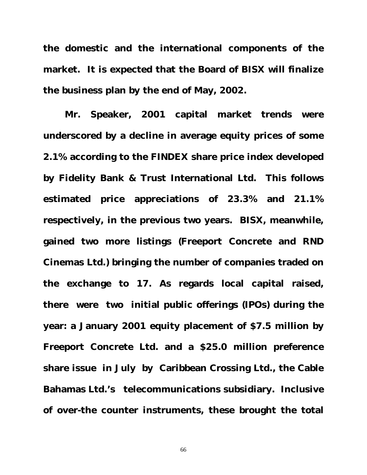**the domestic and the international components of the market. It is expected that the Board of BISX will finalize the business plan by the end of May, 2002.** 

**Mr. Speaker, 2001 capital market trends were underscored by a decline in average equity prices of some 2.1% according to the FINDEX share price index developed by Fidelity Bank & Trust International Ltd. This follows estimated price appreciations of 23.3% and 21.1% respectively, in the previous two years. BISX, meanwhile, gained two more listings (Freeport Concrete and RND Cinemas Ltd.) bringing the number of companies traded on the exchange to 17. As regards local capital raised, there were two initial public offerings (IPOs) during the year: a January 2001 equity placement of \$7.5 million by Freeport Concrete Ltd. and a \$25.0 million preference share issue in July by Caribbean Crossing Ltd., the Cable Bahamas Ltd.'s telecommunications subsidiary. Inclusive of over-the counter instruments, these brought the total**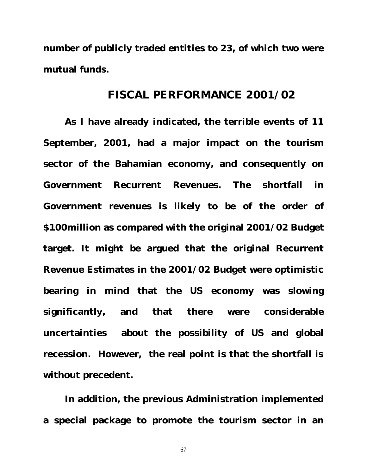**number of publicly traded entities to 23, of which two were mutual funds.**

### **FISCAL PERFORMANCE 2001/02**

**As I have already indicated, the terrible events of 11 September, 2001, had a major impact on the tourism sector of the Bahamian economy, and consequently on Government Recurrent Revenues. The shortfall in Government revenues is likely to be of the order of \$100million as compared with the original 2001/02 Budget target. It might be argued that the original Recurrent Revenue Estimates in the 2001/02 Budget were optimistic bearing in mind that the US economy was slowing significantly, and that there were considerable uncertainties about the possibility of US and global recession. However, the real point is that the shortfall is without precedent.** 

**In addition, the previous Administration implemented a special package to promote the tourism sector in an**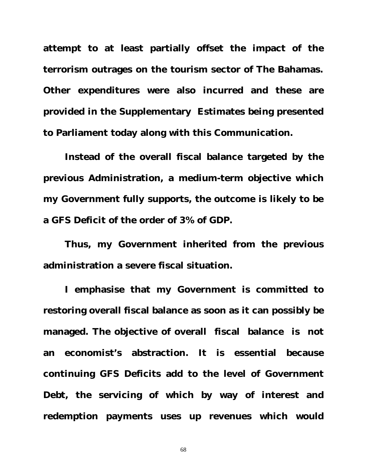**attempt to at least partially offset the impact of the terrorism outrages on the tourism sector of The Bahamas. Other expenditures were also incurred and these are provided in the Supplementary Estimates being presented to Parliament today along with this Communication.** 

**Instead of the overall fiscal balance targeted by the previous Administration, a medium-term objective which my Government fully supports, the outcome is likely to be a GFS Deficit of the order of 3% of GDP.** 

**Thus, my Government inherited from the previous administration a severe fiscal situation.** 

**I emphasise that my Government is committed to restoring overall fiscal balance as soon as it can possibly be managed. The objective of overall fiscal balance is not an economist's abstraction. It is essential because continuing GFS Deficits add to the level of Government Debt, the servicing of which by way of interest and redemption payments uses up revenues which would**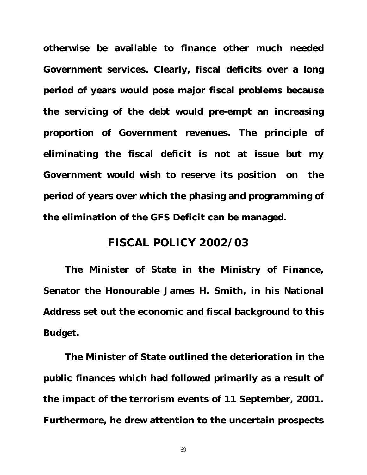**otherwise be available to finance other much needed Government services. Clearly, fiscal deficits over a long period of years would pose major fiscal problems because the servicing of the debt would pre-empt an increasing proportion of Government revenues. The principle of eliminating the fiscal deficit is not at issue but my Government would wish to reserve its position on the period of years over which the phasing and programming of the elimination of the GFS Deficit can be managed.** 

## **FISCAL POLICY 2002/03**

**The Minister of State in the Ministry of Finance, Senator the Honourable James H. Smith, in his National Address set out the economic and fiscal background to this Budget.**

**The Minister of State outlined the deterioration in the public finances which had followed primarily as a result of the impact of the terrorism events of 11 September, 2001. Furthermore, he drew attention to the uncertain prospects**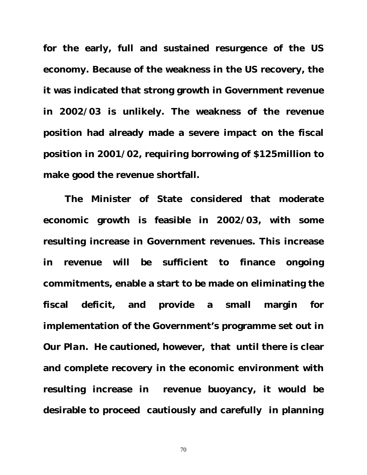**for the early, full and sustained resurgence of the US economy. Because of the weakness in the US recovery, the it was indicated that strong growth in Government revenue in 2002/03 is unlikely. The weakness of the revenue position had already made a severe impact on the fiscal position in 2001/02, requiring borrowing of \$125million to make good the revenue shortfall.** 

**The Minister of State considered that moderate economic growth is feasible in 2002/03, with some resulting increase in Government revenues. This increase in revenue will be sufficient to finance ongoing commitments, enable a start to be made on eliminating the fiscal deficit, and provide a small margin for implementation of the Government's programme set out in**  *Our Plan.* **He cautioned, however, that until there is clear and complete recovery in the economic environment with resulting increase in revenue buoyancy, it would be desirable to proceed cautiously and carefully in planning**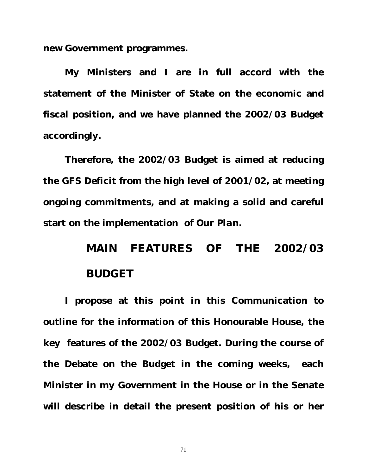**new Government programmes.** 

**My Ministers and I are in full accord with the statement of the Minister of State on the economic and fiscal position, and we have planned the 2002/03 Budget accordingly.** 

**Therefore, the 2002/03 Budget is aimed at reducing the GFS Deficit from the high level of 2001/02, at meeting ongoing commitments, and at making a solid and careful start on the implementation of** *Our Plan***.** 

# **MAIN FEATURES OF THE 2002/03 BUDGET**

**I propose at this point in this Communication to outline for the information of this Honourable House, the key features of the 2002/03 Budget. During the course of the Debate on the Budget in the coming weeks, each Minister in my Government in the House or in the Senate will describe in detail the present position of his or her**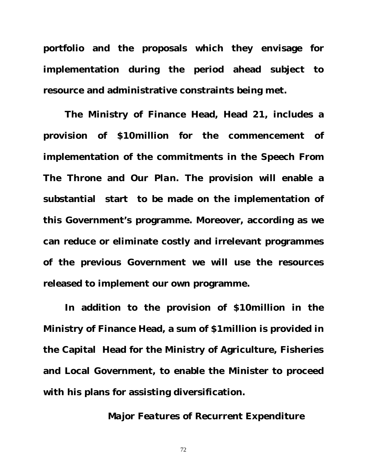**portfolio and the proposals which they envisage for implementation during the period ahead subject to resource and administrative constraints being met.** 

**The Ministry of Finance Head, Head 21, includes a provision of \$10million for the commencement of implementation of the commitments in the** *Speech From The Throne* **and** *Our Plan.* **The provision will enable a substantial start to be made on the implementation of this Government's programme. Moreover, according as we can reduce or eliminate costly and irrelevant programmes of the previous Government we will use the resources released to implement our own programme.** 

**In addition to the provision of \$10million in the Ministry of Finance Head, a sum of \$1million is provided in the Capital Head for the Ministry of Agriculture, Fisheries and Local Government, to enable the Minister to proceed with his plans for assisting diversification.**

### *Major Features of Recurrent Expenditure*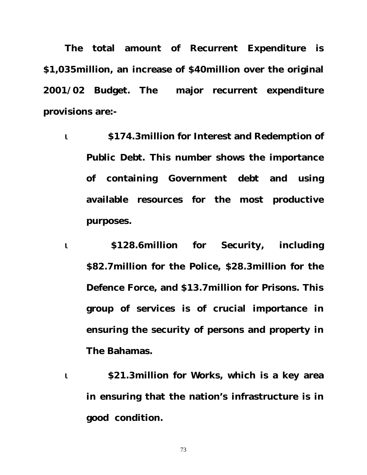**The total amount of Recurrent Expenditure is \$1,035million, an increase of \$40million over the original 2001/02 Budget. The major recurrent expenditure provisions are:-**

- ι **\$174.3million for Interest and Redemption of Public Debt. This number shows the importance of containing Government debt and using available resources for the most productive purposes.**
- ι **\$128.6million for Security, including \$82.7million for the Police, \$28.3million for the Defence Force, and \$13.7million for Prisons. This group of services is of crucial importance in ensuring the security of persons and property in The Bahamas.**
- ι **\$21.3million for Works, which is a key area in ensuring that the nation's infrastructure is in good condition.**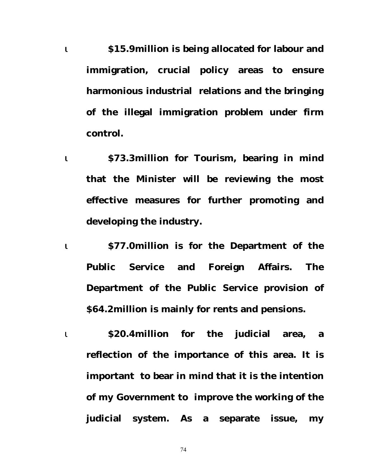ι **\$15.9million is being allocated for labour and immigration, crucial policy areas to ensure harmonious industrial relations and the bringing of the illegal immigration problem under firm control.**

- ι **\$73.3million for Tourism, bearing in mind that the Minister will be reviewing the most effective measures for further promoting and developing the industry.**
- ι **\$77.0million is for the Department of the Public Service and Foreign Affairs. The Department of the Public Service provision of \$64.2million is mainly for rents and pensions.**
- ι **\$20.4million for the judicial area, a reflection of the importance of this area. It is important to bear in mind that it is the intention of my Government to improve the working of the judicial system. As a separate issue, my**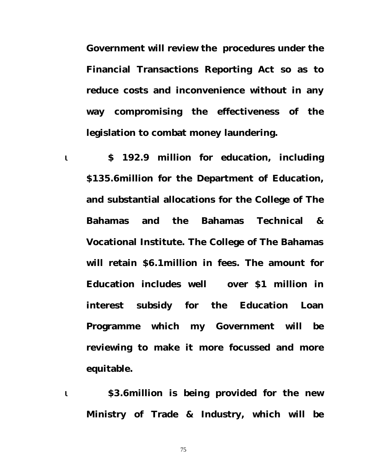**Government will review the procedures under the Financial Transactions Reporting Act so as to reduce costs and inconvenience without in any way compromising the effectiveness of the legislation to combat money laundering.** 

ι **\$ 192.9 million for education, including \$135.6million for the Department of Education, and substantial allocations for the College of The Bahamas and the Bahamas Technical & Vocational Institute. The College of The Bahamas will retain \$6.1million in fees. The amount for Education includes well over \$1 million in interest subsidy for the Education Loan Programme which my Government will be reviewing to make it more focussed and more equitable.** 

ι **\$3.6million is being provided for the new Ministry of Trade & Industry, which will be**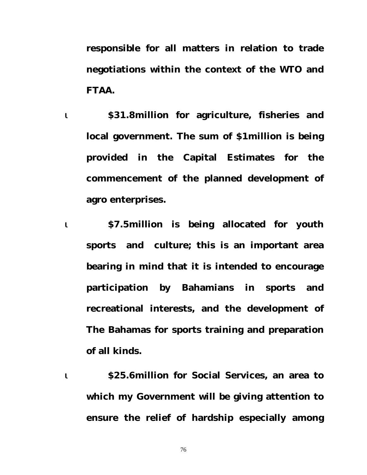**responsible for all matters in relation to trade negotiations within the context of the WTO and FTAA.**

ι **\$31.8million for agriculture, fisheries and local government. The sum of \$1million is being provided in the Capital Estimates for the commencement of the planned development of agro enterprises.**

ι **\$7.5million is being allocated for youth sports and culture; this is an important area bearing in mind that it is intended to encourage participation by Bahamians in sports and recreational interests, and the development of The Bahamas for sports training and preparation of all kinds.**

ι **\$25.6million for Social Services, an area to which my Government will be giving attention to ensure the relief of hardship especially among**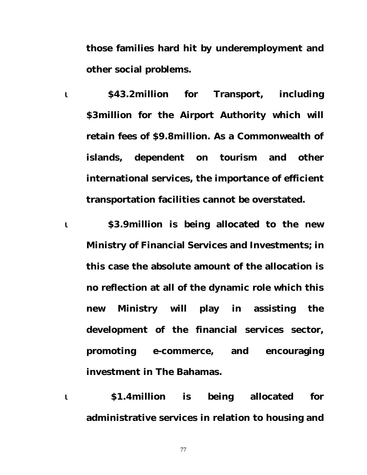**those families hard hit by underemployment and other social problems.** 

ι **\$43.2million for Transport, including \$3million for the Airport Authority which will retain fees of \$9.8million. As a Commonwealth of islands, dependent on tourism and other international services, the importance of efficient transportation facilities cannot be overstated.**

ι **\$3.9million is being allocated to the new Ministry of Financial Services and Investments; in this case the absolute amount of the allocation is no reflection at all of the dynamic role which this new Ministry will play in assisting the development of the financial services sector, promoting e-commerce, and encouraging investment in The Bahamas.**

ι **\$1.4million is being allocated for administrative services in relation to housing and**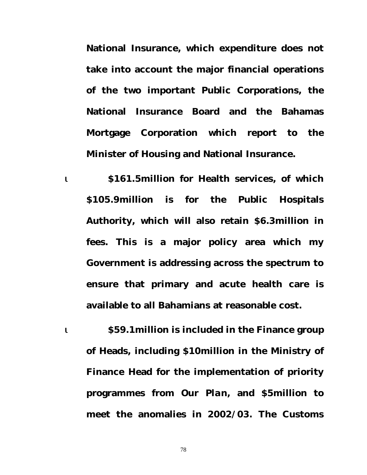**National Insurance, which expenditure does not take into account the major financial operations of the two important Public Corporations, the National Insurance Board and the Bahamas Mortgage Corporation which report to the Minister of Housing and National Insurance.** 

- ι **\$161.5million for Health services, of which \$105.9million is for the Public Hospitals Authority, which will also retain \$6.3million in fees. This is a major policy area which my Government is addressing across the spectrum to ensure that primary and acute health care is available to all Bahamians at reasonable cost.**
- ι **\$59.1million is included in the Finance group of Heads, including \$10million in the Ministry of Finance Head for the implementation of priority programmes from** *Our Plan,* **and \$5million to meet the anomalies in 2002/03. The Customs**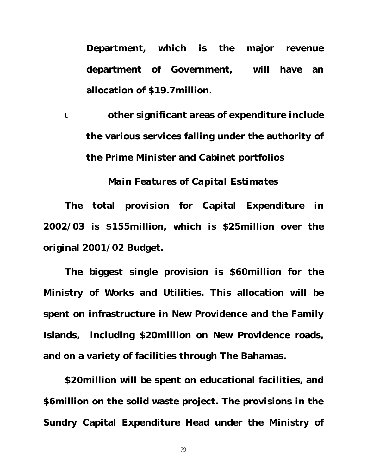**Department, which is the major revenue department of Government, will have an allocation of \$19.7million.** 

ι **other significant areas of expenditure include the various services falling under the authority of the Prime Minister and Cabinet portfolios** 

### *Main Features of Capital Estimates*

**The total provision for Capital Expenditure in 2002/03 is \$155million, which is \$25million over the original 2001/02 Budget.**

**The biggest single provision is \$60million for the Ministry of Works and Utilities. This allocation will be spent on infrastructure in New Providence and the Family Islands, including \$20million on New Providence roads, and on a variety of facilities through The Bahamas.** 

**\$20million will be spent on educational facilities, and \$6million on the solid waste project. The provisions in the Sundry Capital Expenditure Head under the Ministry of**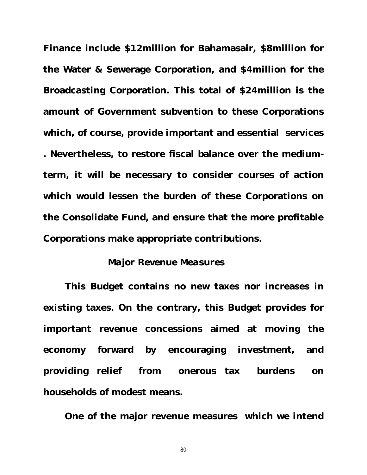**Finance include \$12million for Bahamasair, \$8million for the Water & Sewerage Corporation, and \$4million for the Broadcasting Corporation. This total of \$24million is the amount of Government subvention to these Corporations which, of course, provide important and essential services . Nevertheless, to restore fiscal balance over the mediumterm, it will be necessary to consider courses of action which would lessen the burden of these Corporations on the Consolidate Fund, and ensure that the more profitable Corporations make appropriate contributions.**

#### *Major Revenue Measures*

**This Budget contains no new taxes nor increases in existing taxes. On the contrary, this Budget provides for important revenue concessions aimed at moving the economy forward by encouraging investment, and providing relief from onerous tax burdens on households of modest means.** 

**One of the major revenue measures which we intend**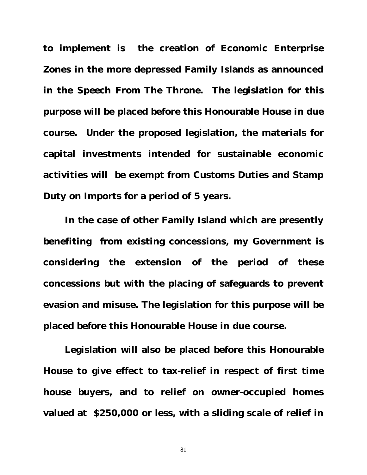**to implement is the creation of Economic Enterprise Zones in the more depressed Family Islands as announced in the** *Speech From The Throne.* **The legislation for this purpose will be placed before this Honourable House in due course. Under the proposed legislation, the materials for capital investments intended for sustainable economic activities will be exempt from Customs Duties and Stamp Duty on Imports for a period of 5 years.** 

**In the case of other Family Island which are presently benefiting from existing concessions, my Government is considering the extension of the period of these concessions but with the placing of safeguards to prevent evasion and misuse. The legislation for this purpose will be placed before this Honourable House in due course.**

**Legislation will also be placed before this Honourable House to give effect to tax-relief in respect of first time house buyers, and to relief on owner-occupied homes valued at \$250,000 or less, with a sliding scale of relief in**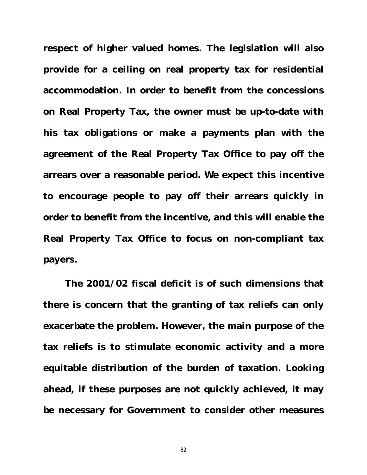**respect of higher valued homes. The legislation will also provide for a ceiling on real property tax for residential accommodation. In order to benefit from the concessions on Real Property Tax, the owner must be up-to-date with his tax obligations or make a payments plan with the agreement of the Real Property Tax Office to pay off the arrears over a reasonable period. We expect this incentive to encourage people to pay off their arrears quickly in order to benefit from the incentive, and this will enable the Real Property Tax Office to focus on non-compliant tax payers.**

**The 2001/02 fiscal deficit is of such dimensions that there is concern that the granting of tax reliefs can only exacerbate the problem. However, the main purpose of the tax reliefs is to stimulate economic activity and a more equitable distribution of the burden of taxation. Looking ahead, if these purposes are not quickly achieved, it may be necessary for Government to consider other measures**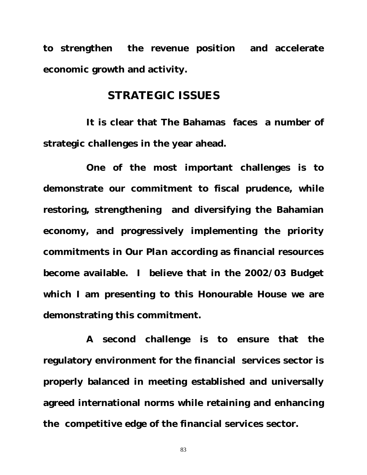**to strengthen the revenue position and accelerate economic growth and activity.** 

# **STRATEGIC ISSUES**

**It is clear that The Bahamas faces a number of strategic challenges in the year ahead.**

**One of the most important challenges is to demonstrate our commitment to fiscal prudence, while restoring, strengthening and diversifying the Bahamian economy, and progressively implementing the priority commitments in** *Our Plan* **according as financial resources become available. I believe that in the 2002/03 Budget which I am presenting to this Honourable House we are demonstrating this commitment.** 

**A second challenge is to ensure that the regulatory environment for the financial services sector is properly balanced in meeting established and universally agreed international norms while retaining and enhancing the competitive edge of the financial services sector.**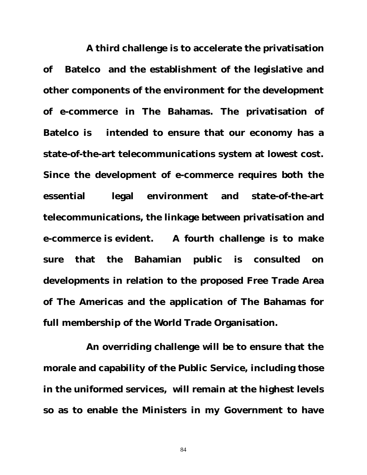**A third challenge is to accelerate the privatisation of Batelco and the establishment of the legislative and other components of the environment for the development of e-commerce in The Bahamas. The privatisation of Batelco is intended to ensure that our economy has a state-of-the-art telecommunications system at lowest cost. Since the development of e-commerce requires both the essential legal environment and state-of-the-art telecommunications, the linkage between privatisation and e-commerce is evident. A fourth challenge is to make sure that the Bahamian public is consulted on developments in relation to the proposed Free Trade Area of The Americas and the application of The Bahamas for full membership of the World Trade Organisation.** 

**An overriding challenge will be to ensure that the morale and capability of the Public Service, including those in the uniformed services, will remain at the highest levels so as to enable the Ministers in my Government to have**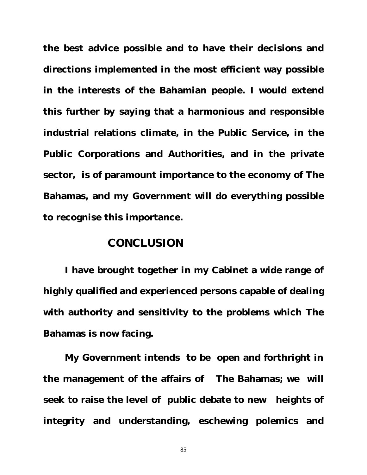**the best advice possible and to have their decisions and directions implemented in the most efficient way possible in the interests of the Bahamian people. I would extend this further by saying that a harmonious and responsible industrial relations climate, in the Public Service, in the Public Corporations and Authorities, and in the private sector, is of paramount importance to the economy of The Bahamas, and my Government will do everything possible to recognise this importance.** 

# **CONCLUSION**

**I have brought together in my Cabinet a wide range of highly qualified and experienced persons capable of dealing with authority and sensitivity to the problems which The Bahamas is now facing.** 

**My Government intends to be open and forthright in the management of the affairs of The Bahamas; we will seek to raise the level of public debate to new heights of integrity and understanding, eschewing polemics and**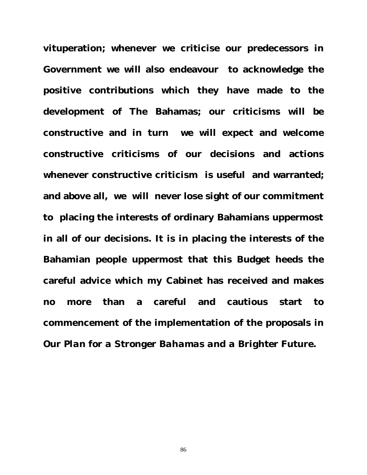**vituperation; whenever we criticise our predecessors in Government we will also endeavour to acknowledge the positive contributions which they have made to the development of The Bahamas; our criticisms will be constructive and in turn we will expect and welcome constructive criticisms of our decisions and actions whenever constructive criticism is useful and warranted; and above all, we will never lose sight of our commitment to placing the interests of ordinary Bahamians uppermost in all of our decisions. It is in placing the interests of the Bahamian people uppermost that this Budget heeds the careful advice which my Cabinet has received and makes no more than a careful and cautious start to commencement of the implementation of the proposals in** *Our Plan for a Stronger Bahamas and a Brighter Future.*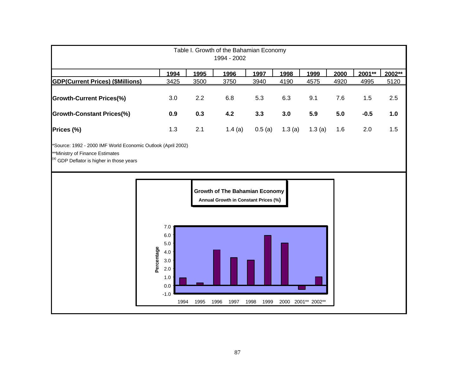| Table I. Growth of the Bahamian Economy<br>1994 - 2002                                                                                       |            |                                                                        |             |                                                                                       |             |      |        |        |                    |        |      |        |        |
|----------------------------------------------------------------------------------------------------------------------------------------------|------------|------------------------------------------------------------------------|-------------|---------------------------------------------------------------------------------------|-------------|------|--------|--------|--------------------|--------|------|--------|--------|
|                                                                                                                                              |            | 1994                                                                   | <u>1995</u> |                                                                                       | <u>1996</u> |      | 1997   | 1998   |                    | 1999   | 2000 | 2001** | 2002** |
| <b>GDP(Current Prices) (\$Millions)</b>                                                                                                      |            | 3425                                                                   | 3500        |                                                                                       | 3750        | 3940 |        | 4190   |                    | 4575   | 4920 | 4995   | 5120   |
| <b>Growth-Current Prices(%)</b>                                                                                                              |            | 3.0                                                                    | 2.2         |                                                                                       | 6.8         |      | 5.3    | 6.3    |                    | 9.1    | 7.6  | 1.5    | 2.5    |
| <b>Growth-Constant Prices(%)</b>                                                                                                             |            | 0.9                                                                    | 0.3         |                                                                                       | 4.2         |      | 3.3    | 3.0    |                    | 5.9    | 5.0  | $-0.5$ | 1.0    |
| Prices (%)                                                                                                                                   |            | 1.3                                                                    | 2.1         |                                                                                       | 1.4(a)      |      | 0.5(a) | 1.3(a) |                    | 1.3(a) | 1.6  | 2.0    | 1.5    |
| 'Source: 1992 - 2000 IMF World Economic Outlook (April 2002)<br>**Ministry of Finance Estimates<br>(a) GDP Deflator is higher in those years |            |                                                                        |             |                                                                                       |             |      |        |        |                    |        |      |        |        |
|                                                                                                                                              | Percentage | 7.0<br>6.0<br>5.0<br>4.0<br>3.0<br>2.0<br>1.0<br>0.0<br>$-1.0$<br>1994 | 1995        | <b>Growth of The Bahamian Economy</b><br>Annual Growth in Constant Prices (%)<br>1996 | 1997        | 1998 | 1999   |        | 2000 2001** 2002** |        |      |        |        |
|                                                                                                                                              |            |                                                                        |             |                                                                                       |             |      |        |        |                    |        |      |        |        |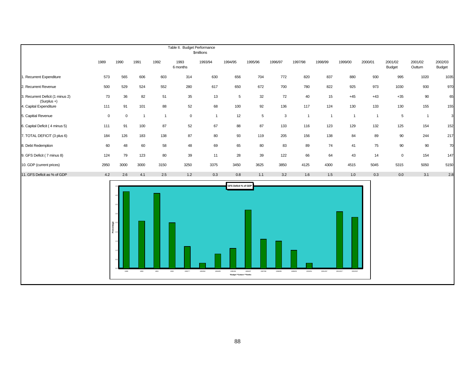|                                                 | Table II. Budget Performance<br><b><i><u>Smillions</u></i></b> |                                  |                |                |                  |                    |                                                             |                    |              |                    |                |                       |                |                          |                    |                   |
|-------------------------------------------------|----------------------------------------------------------------|----------------------------------|----------------|----------------|------------------|--------------------|-------------------------------------------------------------|--------------------|--------------|--------------------|----------------|-----------------------|----------------|--------------------------|--------------------|-------------------|
|                                                 | 1989                                                           | 1990                             | 1991           | 1992           | 1993<br>6 months | 1993/94            | 1994/95                                                     | 1995/96            | 1996/97      | 1997/98            | 1998/99        | 1999/00               | 2000/01        | 2001/02<br><b>Budget</b> | 2001/02<br>Outturn | 2002/03<br>Budget |
| 1. Recurrent Expenditure                        | 573                                                            | 565                              | 606            | 603            | 314              | 630                | 656                                                         | 704                | 772          | 820                | 837            | 880                   | 930            | 995                      | 1020               | 1035              |
| 2. Recurrent Revenue                            | 500                                                            | 529                              | 524            | 552            | 280              | 617                | 650                                                         | 672                | 700          | 780                | 822            | 925                   | 973            | 1030                     | 930                | 970               |
| 3. Recurrent Deficit (1 minus 2)<br>(Surplus +) | 73                                                             | 36                               | 82             | 51             | 35               | 13                 | 5                                                           | 32                 | 72           | 40                 | 15             | $+45$                 | $+43$          | $+35$                    | 90                 | 65                |
| 4. Capital Expenditure                          | 111                                                            | 91                               | 101            | 88             | 52               | 68                 | 100                                                         | 92                 | 136          | 117                | 124            | 130                   | 133            | 130                      | 155                | 155               |
| 5. Capitial Revenue                             | $\mathbf 0$                                                    | $\,0\,$                          | $\overline{1}$ | $\overline{1}$ | $\mathsf 0$      | $\mathbf{1}$       | 12                                                          | $\,$ 5 $\,$        | $\mathbf{3}$ | $\overline{1}$     | $\overline{1}$ | $\overline{1}$        | $\overline{1}$ | $\,$ 5 $\,$              | $\overline{1}$     | 3                 |
| 6. Capital Deficit (4 minus 5)                  | 111                                                            | 91                               | 100            | 87             | 52               | 67                 | 88                                                          | 87                 | 133          | 116                | 123            | 129                   | 132            | 125                      | 154                | 152               |
| 7. TOTAL DEFICIT (3 plus 6)                     | 184                                                            | 126                              | 183            | 138            | 87               | 80                 | 93                                                          | 119                | 205          | 156                | 138            | 84                    | 89             | 90                       | 244                | 217               |
| 8. Debt Redemption                              | 60                                                             | 48                               | 60             | 58             | 48               | 69                 | 65                                                          | 80                 | 83           | 89                 | 74             | 41                    | 75             | 90                       | 90                 | 70                |
| 9. GFS Deficit (7 minus 8)                      | 124                                                            | 79                               | 123            | 80             | 39               | 11                 | 28                                                          | 39                 | 122          | 66                 | 64             | 43                    | 14             | $\mathbf 0$              | 154                | 147               |
| 10. GDP (current prices)                        | 2950                                                           | 3000                             | 3000           | 3150           | 3250             | 3375               | 3450                                                        | 3625               | 3850         | 4125               | 4300           | 4515                  | 5045           | 5315                     | 5050               | 5150              |
| 11. GFS Deficit as % of GDP                     | 4.2                                                            | 2.6                              | 4.1            | 2.5            | 1.2              | 0.3                | 0.8                                                         | 1.1                | 3.2          | 1.6                | 1.5            | 1.0                   | 0.3            | 0.0                      | 3.1                | 2.8               |
|                                                 |                                                                | ege<br>L<br>Percent<br>2<br>1989 | 1990           | 1991           | 1992<br>1993***  | 1993/94<br>1994/95 | GFS Deficit % of GDP<br>1995/96<br>"Budget "Outturn ""6mths | 1996/97<br>1997/98 | 1998/99      | 1999/00<br>2000/01 | 2001/02*       | 2001/02**<br>2002/03* |                |                          |                    |                   |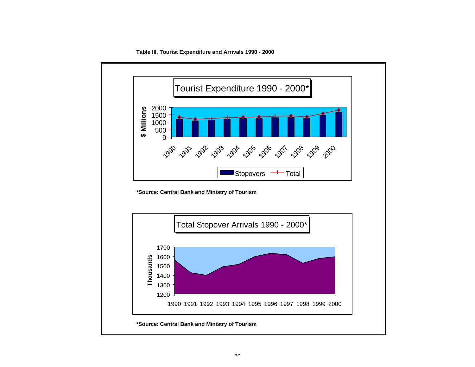**Table III. Tourist Expenditure and Arrivals 1990 - 2000**

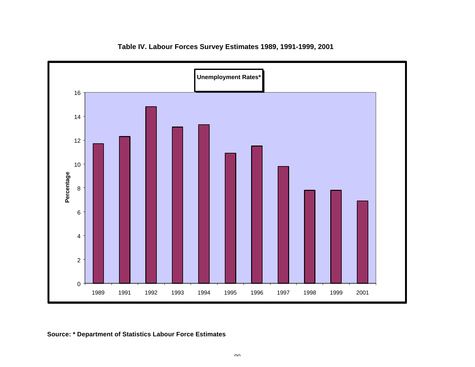

**Table IV. Labour Forces Survey Estimates 1989, 1991-1999, 2001**

**Source: \* Department of Statistics Labour Force Estimates**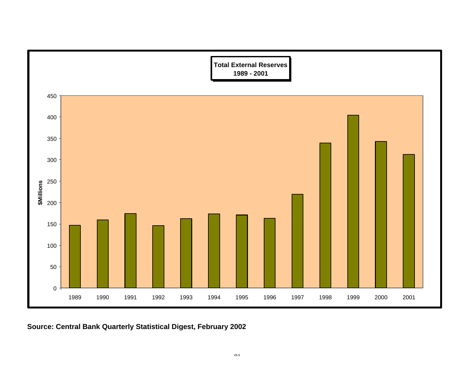

**Source: Central Bank Quarterly Statistical Digest, February 2002**